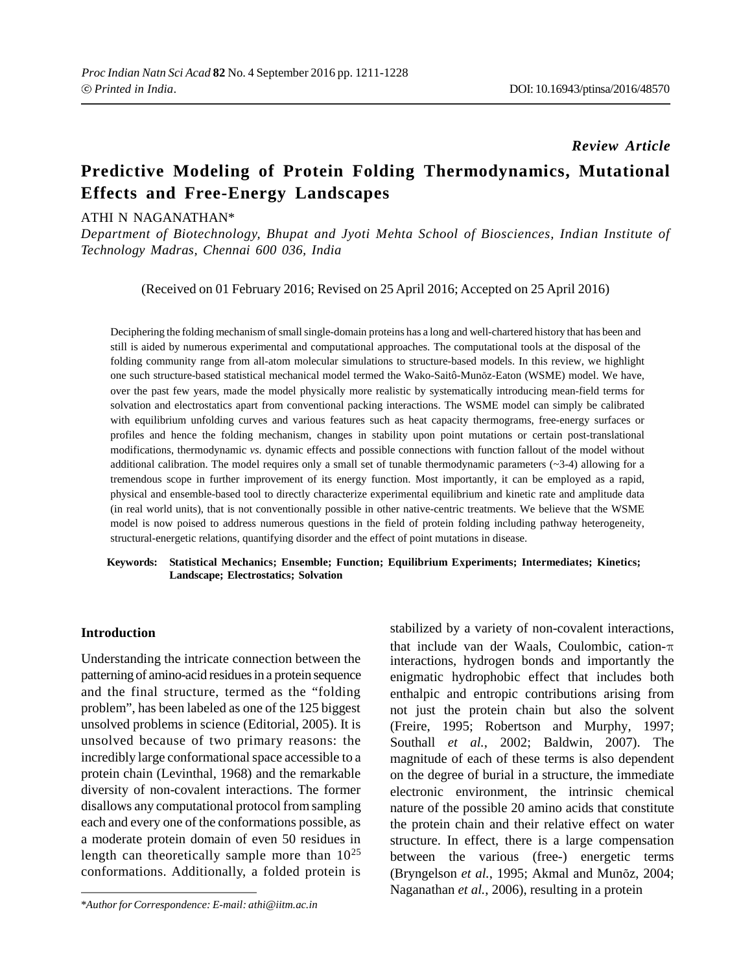### *Review Article*

## **Predictive Modeling of Protein Folding Thermodynamics, Mutational Effects and Free-Energy Landscapes**

## ATHI N NAGANATHAN\*

*Department of Biotechnology, Bhupat and Jyoti Mehta School of Biosciences, Indian Institute of Technology Madras, Chennai 600 036, India*

(Received on 01 February 2016; Revised on 25 April 2016; Accepted on 25 April 2016)

Deciphering the folding mechanism of small single-domain proteins has a long and well-chartered history that has been and still is aided by numerous experimental and computational approaches. The computational tools at the disposal of the folding community range from all-atom molecular simulations to structure-based models. In this review, we highlight one such structure-based statistical mechanical model termed the Wako-Saitô-Munõz-Eaton (WSME) model. We have, over the past few years, made the model physically more realistic by systematically introducing mean-field terms for solvation and electrostatics apart from conventional packing interactions. The WSME model can simply be calibrated with equilibrium unfolding curves and various features such as heat capacity thermograms, free-energy surfaces or profiles and hence the folding mechanism, changes in stability upon point mutations or certain post-translational modifications, thermodynamic *vs.* dynamic effects and possible connections with function fallout of the model without additional calibration. The model requires only a small set of tunable thermodynamic parameters  $(\sim 3-4)$  allowing for a tremendous scope in further improvement of its energy function. Most importantly, it can be employed as a rapid, physical and ensemble-based tool to directly characterize experimental equilibrium and kinetic rate and amplitude data (in real world units), that is not conventionally possible in other native-centric treatments. We believe that the WSME model is now poised to address numerous questions in the field of protein folding including pathway heterogeneity, structural-energetic relations, quantifying disorder and the effect of point mutations in disease. Fitter and ensemble-based tool to different characterize experimental equilibrium and kinetic rate and ampinude data<br>
(in real world units), that is not conventionally possible in other native-centric treatments. We believ

# **Landscape; Electrostatics; Solvation**

#### **Introduction**

Understanding the intricate connection between the patterning of amino-acid residues in a protein sequence and the final structure, termed as the "folding problem", has been labeled as one of the 125 biggest unsolved problems in science (Editorial, 2005). It is unsolved because of two primary reasons: the incredibly large conformational space accessible to a protein chain (Levinthal, 1968) and the remarkable diversity of non-covalent interactions. The former disallows any computational protocol from sampling each and every one of the conformations possible, as a moderate protein domain of even 50 residues in length can theoretically sample more than  $10^{25}$ conformations. Additionally, a folded protein is

\**Author for Correspondence: E-mail: athi@iitm.ac.in*

stabilized by a variety of non-covalent interactions, that include van der Waals, Coulombic, cation- $\pi$ interactions, hydrogen bonds and importantly the enigmatic hydrophobic effect that includes both enthalpic and entropic contributions arising from not just the protein chain but also the solvent (Freire, 1995; Robertson and Murphy, 1997; Southall *et al.*, 2002; Baldwin, 2007). The magnitude of each of these terms is also dependent on the degree of burial in a structure, the immediate electronic environment, the intrinsic chemical nature of the possible 20 amino acids that constitute the protein chain and their relative effect on water structure. In effect, there is a large compensation between the various (free-) energetic terms (Bryngelson *et al.*, 1995; Akmal and Munõz, 2004; Naganathan *et al.*, 2006), resulting in a protein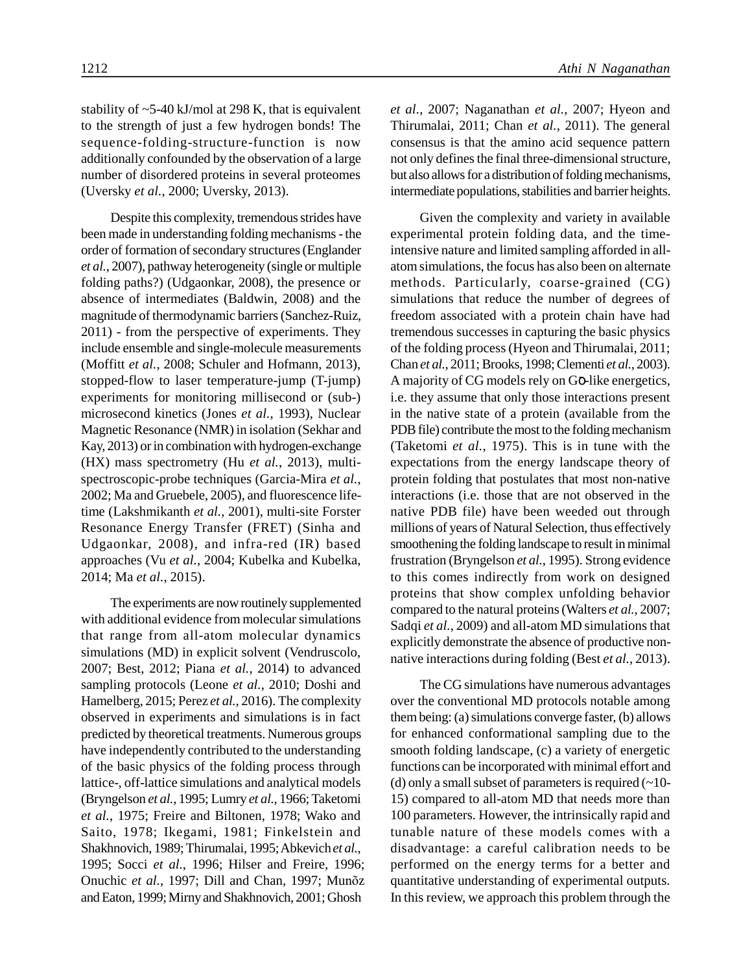stability of  $\sim$  5-40 kJ/mol at 298 K, that is equivalent to the strength of just a few hydrogen bonds! The sequence-folding-structure-function is now additionally confounded by the observation of a large number of disordered proteins in several proteomes (Uversky *et al.*, 2000; Uversky, 2013).

Despite this complexity, tremendous strides have been made in understanding folding mechanisms - the order of formation of secondary structures (Englander *et al.*, 2007), pathway heterogeneity (single or multiple folding paths?) (Udgaonkar, 2008), the presence or absence of intermediates (Baldwin, 2008) and the magnitude of thermodynamic barriers (Sanchez-Ruiz, 2011) - from the perspective of experiments. They include ensemble and single-molecule measurements (Moffitt *et al.*, 2008; Schuler and Hofmann, 2013), stopped-flow to laser temperature-jump (T-jump) experiments for monitoring millisecond or (sub-) microsecond kinetics (Jones *et al.*, 1993), Nuclear Magnetic Resonance (NMR) in isolation (Sekhar and Kay, 2013) or in combination with hydrogen-exchange (HX) mass spectrometry (Hu *et al.*, 2013), multispectroscopic-probe techniques (Garcia-Mira *et al.*, 2002; Ma and Gruebele, 2005), and fluorescence lifetime (Lakshmikanth *et al.*, 2001), multi-site Forster Resonance Energy Transfer (FRET) (Sinha and Udgaonkar, 2008), and infra-red (IR) based approaches (Vu *et al.*, 2004; Kubelka and Kubelka, 2014; Ma *et al.*, 2015).

The experiments are now routinely supplemented with additional evidence from molecular simulations that range from all-atom molecular dynamics simulations (MD) in explicit solvent (Vendruscolo, 2007; Best, 2012; Piana *et al.*, 2014) to advanced sampling protocols (Leone *et al.*, 2010; Doshi and Hamelberg, 2015; Perez *et al.*, 2016). The complexity observed in experiments and simulations is in fact predicted by theoretical treatments. Numerous groups have independently contributed to the understanding of the basic physics of the folding process through lattice-, off-lattice simulations and analytical models (Bryngelson *et al.*, 1995; Lumry *et al.*, 1966; Taketomi *et al.*, 1975; Freire and Biltonen, 1978; Wako and Saito, 1978; Ikegami, 1981; Finkelstein and Shakhnovich, 1989; Thirumalai, 1995; Abkevich *et al.*, 1995; Socci *et al.*, 1996; Hilser and Freire, 1996; Onuchic *et al.*, 1997; Dill and Chan, 1997; Munõz and Eaton, 1999; Mirny and Shakhnovich, 2001; Ghosh

*et al.*, 2007; Naganathan *et al.*, 2007; Hyeon and Thirumalai, 2011; Chan *et al.*, 2011). The general consensus is that the amino acid sequence pattern not only defines the final three-dimensional structure, but also allows for a distribution of folding mechanisms, intermediate populations, stabilities and barrier heights.

Given the complexity and variety in available experimental protein folding data, and the timeintensive nature and limited sampling afforded in allatom simulations, the focus has also been on alternate methods. Particularly, coarse-grained (CG) simulations that reduce the number of degrees of freedom associated with a protein chain have had tremendous successes in capturing the basic physics of the folding process (Hyeon and Thirumalai, 2011; Chan *et al.*, 2011; Brooks, 1998; Clementi *et al.*, 2003). A majority of CG models rely on Go-like energetics, i.e. they assume that only those interactions present in the native state of a protein (available from the PDB file) contribute the most to the folding mechanism (Taketomi *et al.*, 1975). This is in tune with the expectations from the energy landscape theory of protein folding that postulates that most non-native interactions (i.e. those that are not observed in the native PDB file) have been weeded out through millions of years of Natural Selection, thus effectively smoothening the folding landscape to result in minimal frustration (Bryngelson *et al.*, 1995). Strong evidence to this comes indirectly from work on designed proteins that show complex unfolding behavior compared to the natural proteins (Walters *et al.*, 2007; Sadqi *et al.*, 2009) and all-atom MD simulations that explicitly demonstrate the absence of productive nonnative interactions during folding (Best *et al.*, 2013).

The CG simulations have numerous advantages over the conventional MD protocols notable among them being: (a) simulations converge faster, (b) allows for enhanced conformational sampling due to the smooth folding landscape, (c) a variety of energetic functions can be incorporated with minimal effort and (d) only a small subset of parameters is required  $(\sim 10$ them being: (a) simulations converge raster, (b) allows<br>for enhanced conformational sampling due to the<br>smooth folding landscape, (c) a variety of energetic<br>functions can be incorporated with minimal effort and<br>(d) only a 100 parameters. However, the intrinsically rapid and tunable nature of these models comes with a disadvantage: a careful calibration needs to be performed on the energy terms for a better and quantitative understanding of experimental outputs. In this review, we approach this problem through the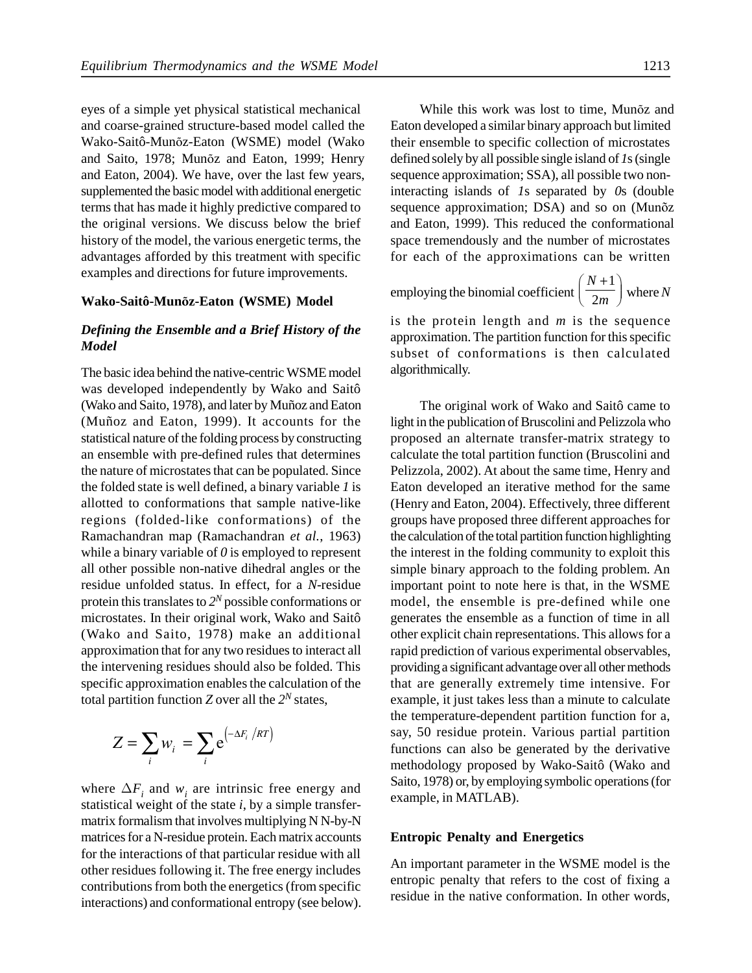eyes of a simple yet physical statistical mechanical and coarse-grained structure-based model called the Wako-Saitô-Munõz-Eaton (WSME) model (Wako and Saito, 1978; Munõz and Eaton, 1999; Henry and Eaton, 2004). We have, over the last few years, supplemented the basic model with additional energetic terms that has made it highly predictive compared to the original versions. We discuss below the brief history of the model, the various energetic terms, the advantages afforded by this treatment with specific examples and directions for future improvements.

#### **Wako-Saitô-Munõz-Eaton (WSME) Model**

## *Defining the Ensemble and a Brief History of the Model*

The basic idea behind the native-centric WSME model was developed independently by Wako and Saitô (Wako and Saito, 1978), and later by MuQ}z and Eaton (Mu Q  $\}$ z and Eaton, 1999). It accounts for the statistical nature of the folding process by constructing an ensemble with pre-defined rules that determines the nature of microstates that can be populated. Since the folded state is well defined, a binary variable*1* is allotted to conformations that sample native-like regions (folded-like conformations) of the Ramachandran map (Ramachandran *et al.*, 1963) while a binary variable of*0* is employed to represent all other possible non-native dihedral angles or the residue unfolded status. In effect, for a*N*-residue protein this translates to*2 <sup>N</sup>* possible conformations or microstates. In their original work, Wako and Saitô (Wako and Saito, 1978) make an additional approximation that for any two residues to interact all the intervening residues should also be folded. This specific approximation enables the calculation of the total partition function *Z* over all the  $2^N$  states, *Frequendal* as binary variable *I* is<br> *Frequendal* as binary variable *I* is<br> *Herry ad-like conformations) of the groups had<br>
<i>Frequendal* and *Frequendal* and *Frequendal* and *Frequendal* and *Frequendal* and *Freque ing the Ensemble and a Brief History of the*<br> *z* is the protein length<br> *z*<br> *z* whistic dieabehind the native-centric WSME model<br>
subset of conformation. The partities<br>
whistic of conformations<br>  $\alpha$  and Sizito, 1978),

$$
Z = \sum_{i} w_{i} = \sum_{i} e^{\left(-\Delta F_{i} / RT\right)}
$$

where  $\Delta F_i$  and  $w_i$  are intrinsic free energy and statistical weight of the state *i*, by a simple transfermatrix formalism that involves multiplying N N-by-N matrices for a N-residue protein. Each matrix accounts for the interactions of that particular residue with all other residues following it. The free energy includes contributions from both the energetics (from specific interactions) and conformational entropy (see below).

While this work was lost to time, Munõz and Eaton developed a similar binary approach but limited their ensemble to specific collection of microstates defined solely by all possible single island of *1*s (single sequence approximation; SSA), all possible two noninteracting islands of *1*s separated by *0*s (double sequence approximation; DSA) and so on (Munõz and Eaton, 1999). This reduced the conformational space tremendously and the number of microstates for each of the approximations can be written 1213<br>
time, Munõz and<br>
proach but limited<br>
on of microstates<br>
sland of Is (single<br>
possible two non-<br>
d by Os (double<br>
nd so on (Munõz<br>
ne conformational<br>
er of microstates<br>
can be written<br>  $\left(\frac{N+1}{2m}\right)$  where N<br>
s the 1213<br>time, Munõz and<br>proach but limited<br>on of microstates<br>sland of *Is* (single<br>possible two non-<br>d by *Os* (double<br>nd so on (Munõz<br>e conformational<br>er of microstates<br>can be written<br> $\left(\frac{N+1}{2m}\right)$  where *N*<br>s the sequen

emplying the binomial coefficient 
$$
\left(\frac{N+1}{2m}\right)
$$
 where N

is the protein length and *m* is the sequence approximation. The partition function for this specific subset of conformations is then calculated algorithmically.

is exampled into the same show that detection the lamon behind that appropriate the same show that the same show that the same show that the same show that the same show that the same show that the same show that the same The original work of Wako and Saitô came to light in the publication of Bruscolini and Pelizzola who proposed an alternate transfer-matrix strategy to calculate the total partition function (Bruscolini and Pelizzola, 2002). At about the same time, Henry and Eaton developed an iterative method for the same (Henry and Eaton, 2004). Effectively, three different groups have proposed three different approaches for the calculation of the total partition function highlighting the interest in the folding community to exploit this simple binary approach to the folding problem. An important point to note here is that, in the WSME model, the ensemble is pre-defined while one generates the ensemble as a function of time in all other explicit chain representations. This allows for a rapid prediction of various experimental observables, providing a significant advantage over all other methods that are generally extremely time intensive. For example, it just takes less than a minute to calculate the temperature-dependent partition function for a, say, 50 residue protein. Various partial partition functions can also be generated by the derivative methodology proposed by Wako-Saitô (Wako and Saito, 1978) or, by employing symbolic operations (for example, in MATLAB).

#### **Entropic Penalty and Energetics**

An important parameter in the WSME model is the entropic penalty that refers to the cost of fixing a residue in the native conformation. In other words,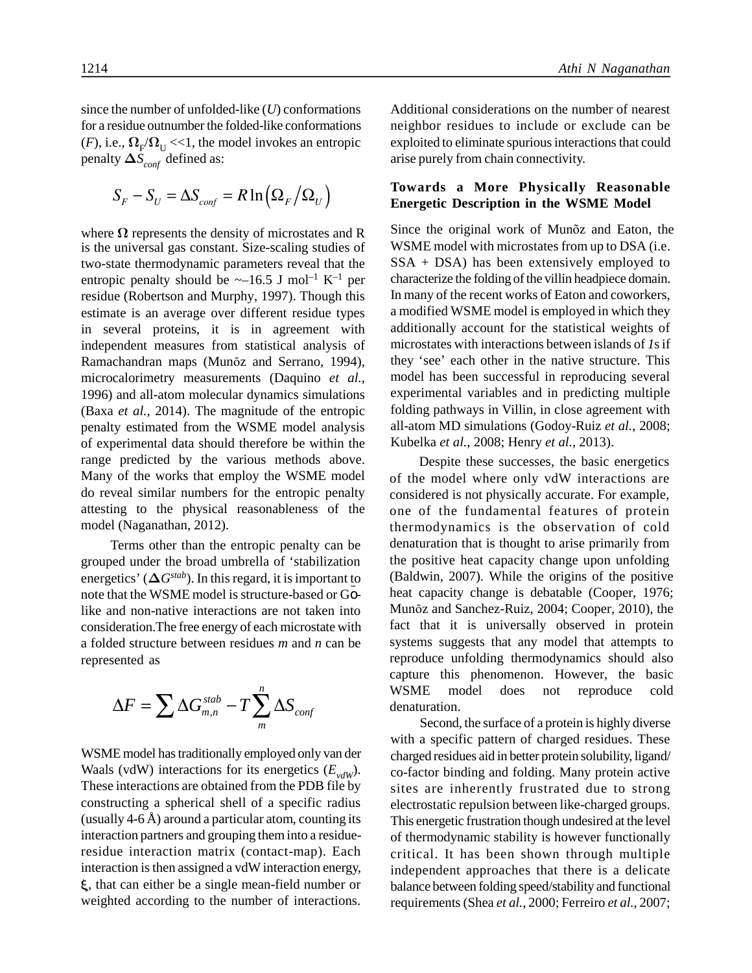since the number of unfolded-like (*U*) conformations for a residue outnumber the folded-like conformations  $(F)$ , i.e.,  $\Omega_F/\Omega_U$  <<1, the model invokes an entropic exp penalty  $\Delta S$ <sub>conf</sub> defined as:

$$
S_F - S_U = \Delta S_{conf} = R \ln \left( \Omega_F / \Omega_U \right)
$$

where  $\Omega$  represents the density of microstates and R is the universal gas constant. Size-scaling studies of two-state thermodynamic parameters reveal that the entropic penalty should be  $\sim$ -16.5 J mol<sup>-1</sup> K<sup>-1</sup> per residue (Robertson and Murphy, 1997). Though this estimate is an average over different residue types in several proteins, it is in agreement with independent measures from statistical analysis of Ramachandran maps (Munõz and Serrano, 1994), microcalorimetry measurements (Daquino *et al.*, 1996) and all-atom molecular dynamics simulations (Baxa *et al.*, 2014). The magnitude of the entropic penalty estimated from the WSME model analysis of experimental data should therefore be within the range predicted by the various methods above. Many of the works that employ the WSME model do reveal similar numbers for the entropic penalty attesting to the physical reasonableness of the model (Naganathan, 2012). **stable and the matter of stable<br>stable and the stabilitation of stabilitation of stabilitation of stabilitation of stabilitation of stabilitation of stabilitation of stabilitation of the stabilitation of the stabilitatio** 

Terms other than the entropic penalty can be grouped under the broad umbrella of 'stabilization energetics' ( $\Delta G^{stab}$ ). In this regard, it is important to note that the WSME model is structure-based or Golike and non-native interactions are not taken into consideration.The free energy of each microstate with a folded structure between residues *m* and *n* can be represented as

$$
\Delta F = \sum \Delta G_{m,n}^{stab} - T \sum_{m}^{n} \Delta S_{conf} \qquad \text{WSME}_{Seq}
$$

WSME model has traditionally employed only van der Waals (vdW) interactions for its energetics  $(E_{vdW})$ . These interactions are obtained from the PDB file by constructing a spherical shell of a specific radius (usually  $4-6$  Å) around a particular atom, counting its interaction partners and grouping them into a residueresidue interaction matrix (contact-map). Each interaction is then assigned a vdW interaction energy, , that can either be a single mean-field number or weighted according to the number of interactions.

Additional considerations on the number of nearest neighbor residues to include or exclude can be exploited to eliminate spurious interactions that could arise purely from chain connectivity.

## **Towards a More Physically Reasonable Energetic Description in the WSME Model**

**Example 10** Athi N Naganathan<br> **F** in uniber of unfolded-like (*D*) conformations<br> **F** is existent to the folded-like conformations<br> **F**  $\exp\{2\lambda_{\text{cov}}\}$   $\leq$   $\ln_2\{\mathbf{X}_1\}$ , the model invokes an entropic<br>  $\exp\{2\lambda_{$ Since the original work of Munõz and Eaton, the WSME model with microstates from up to DSA (i.e. SSA + DSA) has been extensively employed to characterize the folding of the villin headpiece domain. In many of the recent works of Eaton and coworkers, a modified WSME model is employed in which they additionally account for the statistical weights of microstates with interactions between islands of *1*s if they 'see' each other in the native structure. This model has been successful in reproducing several experimental variables and in predicting multiple folding pathways in Villin, in close agreement with all-atom MD simulations (Godoy-Ruiz *et al.*, 2008; Kubelka *et al.*, 2008; Henry *et al.*, 2013).

> Despite these successes, the basic energetics of the model where only vdW interactions are considered is not physically accurate. For example, one of the fundamental features of protein thermodynamics is the observation of cold denaturation that is thought to arise primarily from the positive heat capacity change upon unfolding (Baldwin, 2007). While the origins of the positive heat capacity change is debatable (Cooper, 1976; Munõz and Sanchez-Ruiz, 2004; Cooper, 2010), the fact that it is universally observed in protein systems suggests that any model that attempts to reproduce unfolding thermodynamics should also capture this phenomenon. However, the basic WSME model does not reproduce cold denaturation.

> Second, the surface of a protein is highly diverse with a specific pattern of charged residues. These charged residues aid in better protein solubility, ligand/ co-factor binding and folding. Many protein active sites are inherently frustrated due to strong electrostatic repulsion between like-charged groups. This energetic frustration though undesired at the level of thermodynamic stability is however functionally critical. It has been shown through multiple independent approaches that there is a delicate balance between folding speed/stability and functional requirements (Shea *et al.*, 2000; Ferreiro *et al.*, 2007;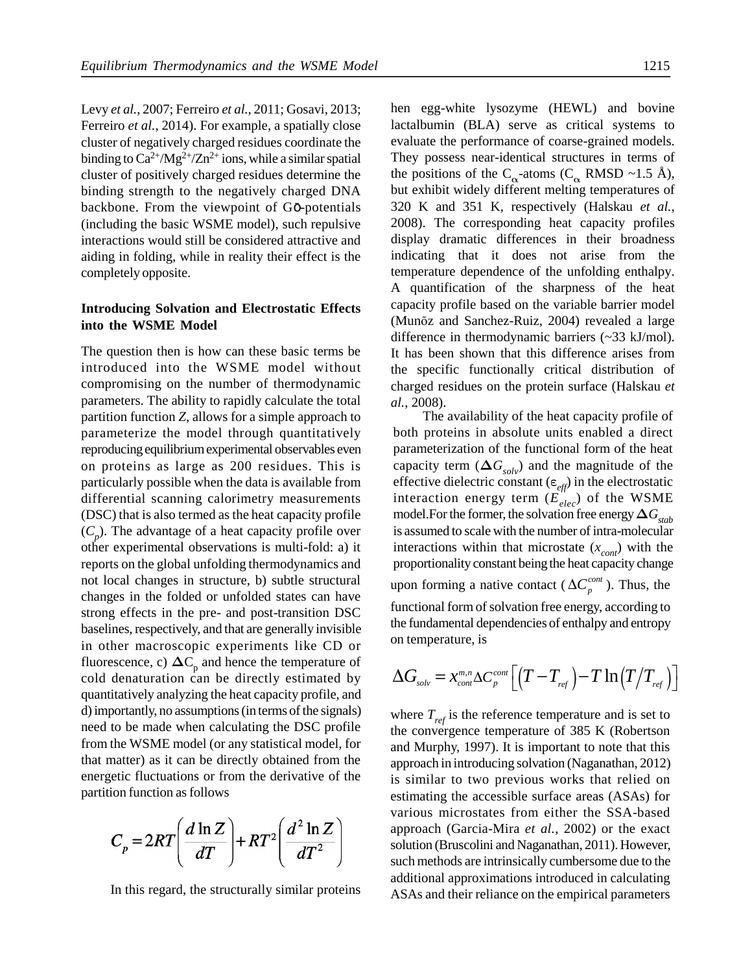Levy *et al.*, 2007; Ferreiro *et al.*, 2011; Gosavi, 2013; Ferreiro *et al.*, 2014). For example, a spatially close cluster of negatively charged residues coordinate the binding to  $Ca^{2+}/Mg^{2+}/Zn^{2+}$  ions, while a similar spatial cluster of positively charged residues determine the binding strength to the negatively charged DNA backbone. From the viewpoint of Go-potentials (including the basic WSME model), such repulsive interactions would still be considered attractive and aiding in folding, while in reality their effect is the completely opposite.

## **Introducing Solvation and Electrostatic Effects into the WSME Model**

The question then is how can these basic terms be introduced into the WSME model without compromising on the number of thermodynamic parameters. The ability to rapidly calculate the total partition function *Z*, allows for a simple approach to parameterize the model through quantitatively reproducing equilibrium experimental observables even on proteins as large as 200 residues. This is particularly possible when the data is available from (DSC) that is also termed as the heat capacity profile  $(C_p)$ . The advantage of a heat capacity profile over other experimental observations is multi-fold: a) it reports on the global unfolding thermodynamics and not local changes in structure, b) subtle structural changes in the folded or unfolded states can have strong effects in the pre- and post-transition DSC baselines, respectively, and that are generally invisible in other macroscopic experiments like CD or fluorescence, c)  $\Delta C_p$  and hence the temperature of cold denaturation can be directly estimated by quantitatively analyzing the heat capacity profile, and d) importantly, no assumptions (in terms of the signals) need to be made when calculating the DSC profile from the WSME model (or any statistical model, for that matter) as it can be directly obtained from the energetic fluctuations or from the derivative of the partition function as follows

$$
C_p = 2RT \left( \frac{d \ln Z}{dT} \right) + RT^2 \left( \frac{d^2 \ln Z}{dT^2} \right)
$$

In this regard, the structurally similar proteins

hen egg-white lysozyme (HEWL) and bovine lactalbumin (BLA) serve as critical systems to evaluate the performance of coarse-grained models. They possess near-identical structures in terms of the positions of the C<sub> $\alpha$ </sub>-atoms (C<sub> $\alpha$ </sub> RMSD ~1.5 Å), but exhibit widely different melting temperatures of 320 K and 351 K, respectively (Halskau *et al.*, 2008). The corresponding heat capacity profiles display dramatic differences in their broadness indicating that it does not arise from the temperature dependence of the unfolding enthalpy. A quantification of the sharpness of the heat capacity profile based on the variable barrier model (Munõz and Sanchez-Ruiz, 2004) revealed a large difference in thermodynamic barriers (~33 kJ/mol). It has been shown that this difference arises from the specific functionally critical distribution of charged residues on the protein surface (Halskau *et al.*, 2008). 1215<br>
1215<br>
1215<br>
1215<br>
1216<br>
1216<br>
1216<br>
1216<br>
1216<br>
1216<br>
1216<br>
1216<br>
1216<br>
1216<br>
1216<br>
1216<br>
1216<br>
1216<br>
1216<br>
1216<br>
1216<br>
1216<br>
1216<br>
1216<br>
1216<br>
1216<br>
1216<br>
1216<br>
1216<br>
1216<br>
1216<br>
1216<br>
1216<br>
1216<br>
1216<br>
1218<br>
1216<br>

differential scanning calorimetry measurements interaction energy term  $(\vec{E}_{elec})$  of the WSME The availability of the heat capacity profile of both proteins in absolute units enabled a direct parameterization of the functional form of the heat capacity term  $(\Delta G_{solv})$  and the magnitude of the effective dielectric constant ( $\varepsilon_{\text{eff}}$ ) in the electrostatic Interaction of the heat capacity profile of<br>both proteins in absolute units enabled a direct<br>parameterization of the functional form of the heat<br>capacity term  $(\Delta G_{solv})$  and the magnitude of the<br>effective dielectric consta model.For the former, the solvation free energy  $\Delta G$ <sub>stab</sub> is assumed to scale with the number of intra-molecular interactions within that microstate  $(x_{cont})$  with the proportionality constant being the heat capacity change upon forming a native contact ( $\Delta C_p^{cont}$ ). Thus, the functional form of solvation free energy, according to the fundamental dependencies of enthalpy and entropy on temperature, is EVERENT and the it does not arise to the information disting that it discuss<br>display dramatic differences in their broadness<br>indicating that it does not arise from the permetrance dependence of the unfolding enthalpy.<br>A

$$
\Delta G_{_{solv}} = \mathop x \nolimits_{cont}^{m,n} \Delta C_{_P}^{cont} \Big[ \big(T - T_{_{ref}}\big) {-} T \ln \big(T\big/T_{_{ref}}\big) \Big]
$$

where  $T_{ref}$  is the reference temperature and is set to the convergence temperature of 385 K (Robertson and Murphy, 1997). It is important to note that this approach in introducing solvation (Naganathan, 2012) is similar to two previous works that relied on estimating the accessible surface areas (ASAs) for various microstates from either the SSA-based approach (Garcia-Mira *et al.*, 2002) or the exact solution (Bruscolini and Naganathan, 2011). However, such methods are intrinsically cumbersome due to the additional approximations introduced in calculating ASAs and their reliance on the empirical parameters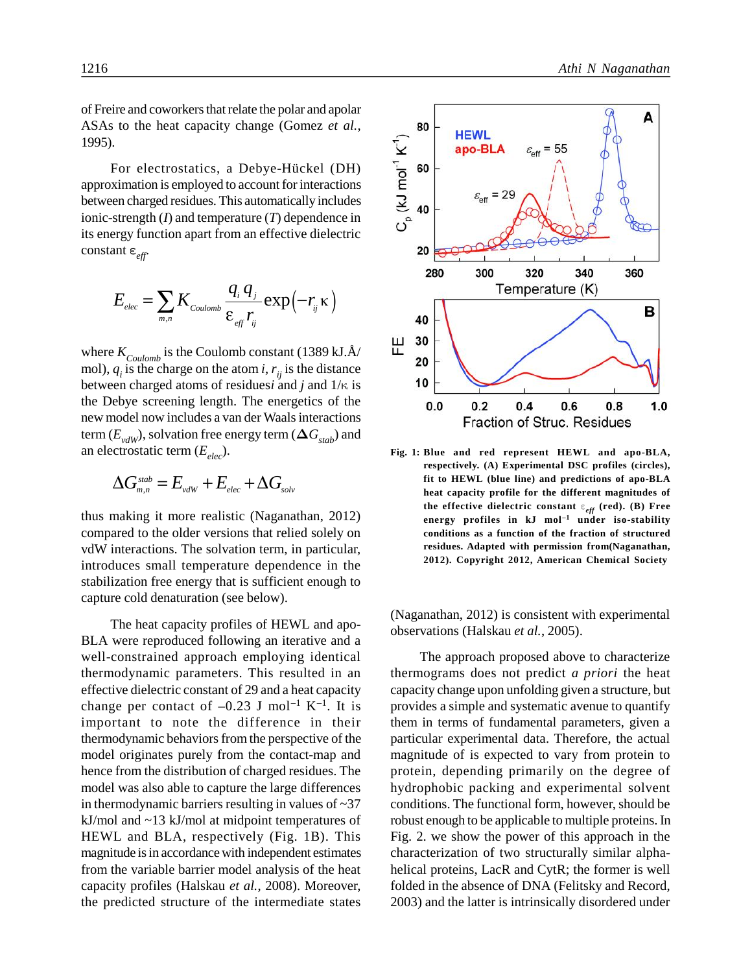of Freire and coworkers that relate the polar and apolar ASAs to the heat capacity change (Gomez *et al.*, 1995).

For electrostatics, a Debye-Hückel (DH)<br>
Examples in the property of the position is employed to account for interactions<br>
Even charged residues. This automatically includes<br>
Subseting the *C* and temperature *(T)* depend approximation is employed to account for interactions between charged residues. This automatically includes 1995).<br>
For electrostatics, a Debye-Hückel (DH)<br>
approximation is employed to account for interactions<br>
between charged residues. This automatically includes<br>
ionic-strength (*I*) and temperature (*T*) dependence in<br>
its its energy function apart from an effective dielectric *electrostatics, a Debye-Hückel (DH)*<br> *electrostatics, a Debye-Hückel (DH)*<br> *i* relectrostatics, a Debye-Hückel (DH)<br> *ination* is employed to account for interactions<br>
charged residues. This automatically includes<br>
ren

$$
E_{elec} = \sum_{m,n} K_{\text{Coulomb}} \frac{q_i q_j}{\varepsilon_{\text{eff}} r_{ij}} \exp\left(-r_{ij} \kappa\right)
$$

where  $K_{Coulomb}$  is the Coulomb constant (1389 kJ.Å/ mol),  $q_i$  is the charge on the atom *i*,  $r_{ij}$  is the distance between charged atoms of residues*i* and  $j$  and  $1/\kappa$  is the Debye screening length. The energetics of the new model now includes a van der Waals interactions term  $(E_{vdW})$ , solvation free energy term  $(\Delta G_{stab})$  and an electrostatic term (*Eelec*).

$$
\Delta G_{\scriptscriptstyle m,n}^{\scriptscriptstyle stab} = E_{\scriptscriptstyle vdW} + E_{\scriptscriptstyle elec} + \Delta G_{\scriptscriptstyle sc}
$$

thus making it more realistic (Naganathan, 2012) compared to the older versions that relied solely on vdW interactions. The solvation term, in particular, introduces small temperature dependence in the stabilization free energy that is sufficient enough to capture cold denaturation (see below).

The heat capacity profiles of HEWL and apo-BLA were reproduced following an iterative and a well-constrained approach employing identical thermodynamic parameters. This resulted in an effective dielectric constant of 29 and a heat capacity change per contact of  $-0.23$  J mol<sup>-1</sup> K<sup>-1</sup>. It is important to note the difference in their thermodynamic behaviors from the perspective of the model originates purely from the contact-map and hence from the distribution of charged residues. The model was also able to capture the large differences in thermodynamic barriers resulting in values of  $\sim$ 37 kJ/mol and ~13 kJ/mol at midpoint temperatures of HEWL and BLA, respectively (Fig. 1B). This magnitude is in accordance with independent estimates from the variable barrier model analysis of the heat capacity profiles (Halskau *et al.*, 2008). Moreover, the predicted structure of the intermediate states



**respectively. (A) Experimental DSC profiles (circles), fit to HEWL (blue line) and predictions of apo-BLA heat capacity profile for the different magnitudes of the effective dielectric constant** *eff* **(red). (B) Free energy profiles in kJ mol–1 under iso-stability conditions as a function of the fraction of structured residues. Adapted with permission from(Naganathan, 2012). Copyright 2012, American Chemical Society**

(Naganathan, 2012) is consistent with experimental observations (Halskau *et al.*, 2005).

The approach proposed above to characterize thermograms does not predict *a priori* the heat capacity change upon unfolding given a structure, but provides a simple and systematic avenue to quantify them in terms of fundamental parameters, given a particular experimental data. Therefore, the actual magnitude of is expected to vary from protein to protein, depending primarily on the degree of hydrophobic packing and experimental solvent conditions. The functional form, however, should be robust enough to be applicable to multiple proteins. In Fig. 2. we show the power of this approach in the characterization of two structurally similar alphahelical proteins, LacR and CytR; the former is well folded in the absence of DNA (Felitsky and Record, 2003) and the latter is intrinsically disordered under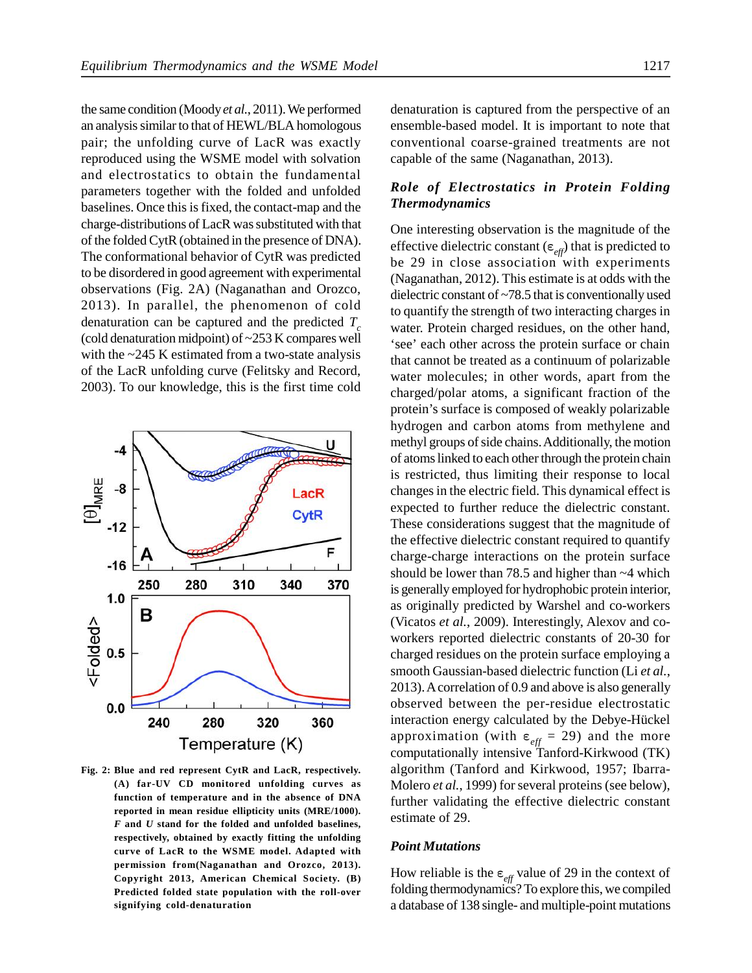the same condition (Moody *et al.*, 2011). We performed an analysis similar to that of HEWL/BLA homologous pair; the unfolding curve of LacR was exactly reproduced using the WSME model with solvation and electrostatics to obtain the fundamental parameters together with the folded and unfolded baselines. Once this is fixed, the contact-map and the charge-distributions of LacR was substituted with that of the folded CytR (obtained in the presence of DNA). The conformational behavior of CytR was predicted to be disordered in good agreement with experimental observations (Fig. 2A) (Naganathan and Orozco, 2013). In parallel, the phenomenon of cold denaturation can be captured and the predicted *<sup>T</sup><sup>c</sup>* (cold denaturation midpoint) of ~253 K compares well with the ~245 K estimated from a two-state analysis of the LacR unfolding curve (Felitsky and Record, 2003). To our knowledge, this is the first time cold



**(A) far-UV CD monitored unfolding curves as function of temperature and in the absence of DNA reported in mean residue ellipticity units (MRE/1000).** *F* **and** *U* **stand for the folded and unfolded baselines, respectively, obtained by exactly fitting the unfolding curve of LacR to the WSME model. Adapted with permission from(Naganathan and Orozco, 2013). Copyright 2013, American Chemical Society. (B) Predicted folded state population with the roll-over signifying cold-denaturation**

denaturation is captured from the perspective of an ensemble-based model. It is important to note that conventional coarse-grained treatments are not capable of the same (Naganathan, 2013).

## *Role of Electrostatics in Protein Folding Thermodynamics*

One interesting observation is the magnitude of the effective dielectric constant ( $\varepsilon_{\text{eff}}$ ) that is predicted to be 29 in close association with experiments (Naganathan, 2012). This estimate is at odds with the dielectric constant of ~78.5 that is conventionally used to quantify the strength of two interacting charges in water. Protein charged residues, on the other hand, 'see' each other across the protein surface or chain that cannot be treated as a continuum of polarizable water molecules; in other words, apart from the charged/polar atoms, a significant fraction of the protein's surface is composed of weakly polarizable hydrogen and carbon atoms from methylene and methyl groups of side chains. Additionally, the motion of atoms linked to each other through the protein chain is restricted, thus limiting their response to local changes in the electric field. This dynamical effect is expected to further reduce the dielectric constant. These considerations suggest that the magnitude of the effective dielectric constant required to quantify charge-charge interactions on the protein surface should be lower than 78.5 and higher than ~4 which is generally employed for hydrophobic protein interior, as originally predicted by Warshel and co-workers (Vicatos *et al.*, 2009). Interestingly, Alexov and coworkers reported dielectric constants of 20-30 for charged residues on the protein surface employing a smooth Gaussian-based dielectric function (Li *et al.*, 2013). A correlation of 0.9 and above is also generally observed between the per-residue electrostatic interaction energy calculated by the Debye-Hückel approximation (with  $\varepsilon_{eff}$  = 29) and the more computationally intensive Tanford-Kirkwood (TK) algorithm (Tanford and Kirkwood, 1957; Ibarra-Molero *et al.*, 1999) for several proteins (see below), further validating the effective dielectric constant estimate of 29.

#### *Point Mutations*

How reliable is the  $\epsilon_{\text{eff}}$  value of 29 in the context of folding thermodynamics? To explore this, we compiled a database of 138 single- and multiple-point mutations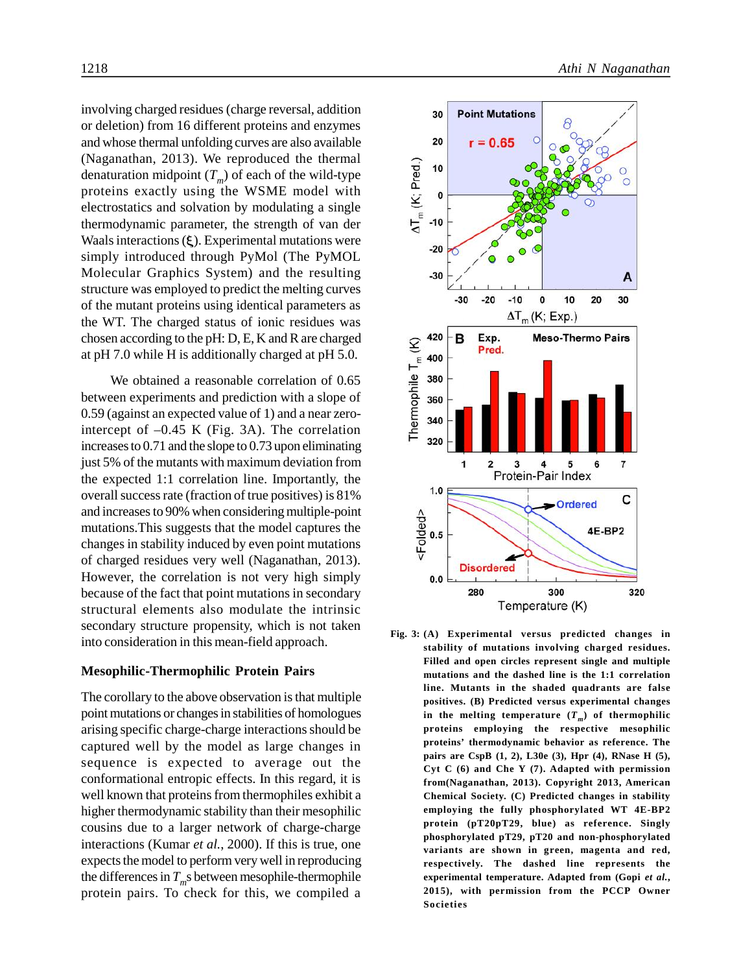involving charged residues (charge reversal, addition or deletion) from 16 different proteins and enzymes and whose thermal unfolding curves are also available (Naganathan, 2013). We reproduced the thermal denaturation midpoint (*T<sup>m</sup>* ) of each of the wild-type (Naganathan, 2013). We reproduced the thermal<br>denaturation midpoint  $(T_m)$  of each of the wild-type<br>proteins exactly using the WSME model with<br>electrostatics and solvation by modulating a single<br>thermodynamic parameter, th electrostatics and solvation by modulating a single thermodynamic parameter, the strength of van der Waals interactions  $(\xi)$ . Experimental mutations were simply introduced through PyMol (The PyMOL Molecular Graphics System) and the resulting structure was employed to predict the melting curves of the mutant proteins using identical parameters as the WT. The charged status of ionic residues was at pH 7.0 while H is additionally charged at pH 5.0.

chosen according to the pH: D, E, K and R are charged<br>at pH 7.0 while H is additionally charged at pH 5.0.<br>We obtained a reasonable correlation of 0.65<br>between experiments and prediction with a slope of<br>0.59 (against an e We obtained a reasonable correlation of 0.65 between experiments and prediction with a slope of 0.59 (against an expected value of 1) and a near zerointercept of –0.45 K (Fig. 3A). The correlation increases to 0.71 and the slope to 0.73 upon eliminating just 5% of the mutants with maximum deviation from the expected 1:1 correlation line. Importantly, the overall success rate (fraction of true positives) is 81% and increases to 90% when considering multiple-point mutations.This suggests that the model captures the changes in stability induced by even point mutations of charged residues very well (Naganathan, 2013). However, the correlation is not very high simply because of the fact that point mutations in secondary structural elements also modulate the intrinsic secondary structure propensity, which is not taken into consideration in this mean-field approach.

#### **Mesophilic-Thermophilic Protein Pairs**

The corollary to the above observation is that multiple point mutations or changes in stabilities of homologues arising specific charge-charge interactions should be captured well by the model as large changes in sequence is expected to average out the conformational entropic effects. In this regard, it is well known that proteins from thermophiles exhibit a higher thermodynamic stability than their mesophilic cousins due to a larger network of charge-charge interactions (Kumar *et al.*, 2000). If this is true, one expects the model to perform very well in reproducing the differences in  $T_m$ s between mesophile-thermophile protein pairs. To check for this, we compiled a



**stability of mutations involving charged residues. Filled and open circles represent single and multiple mutations and the dashed line is the 1:1 correlation line. Mutants in the shaded quadrants are false positives. (B) Predicted versus experimental changes** in the melting temperature  $(T_{m}^{\prime})$  of thermophilic **proteins employing the respective mesophilic proteins' thermodynamic behavior as reference. The pairs are CspB (1, 2), L30e (3), Hpr (4), RNase H (5), Cyt C (6) and Che Y (7). Adapted with permission from(Naganathan, 2013). Copyright 2013, American Chemical Society. (C) Predicted changes in stability employing the fully phosphorylated WT 4E-BP2 protein (pT20pT29, blue) as reference. Singly phosphorylated pT29, pT20 and non-phosphorylated variants are shown in green, magenta and red, respectively. The dashed line represents the experimental temperature. Adapted from (Gopi** *et al.***, 2015), with permission from the PCCP Owner Societies**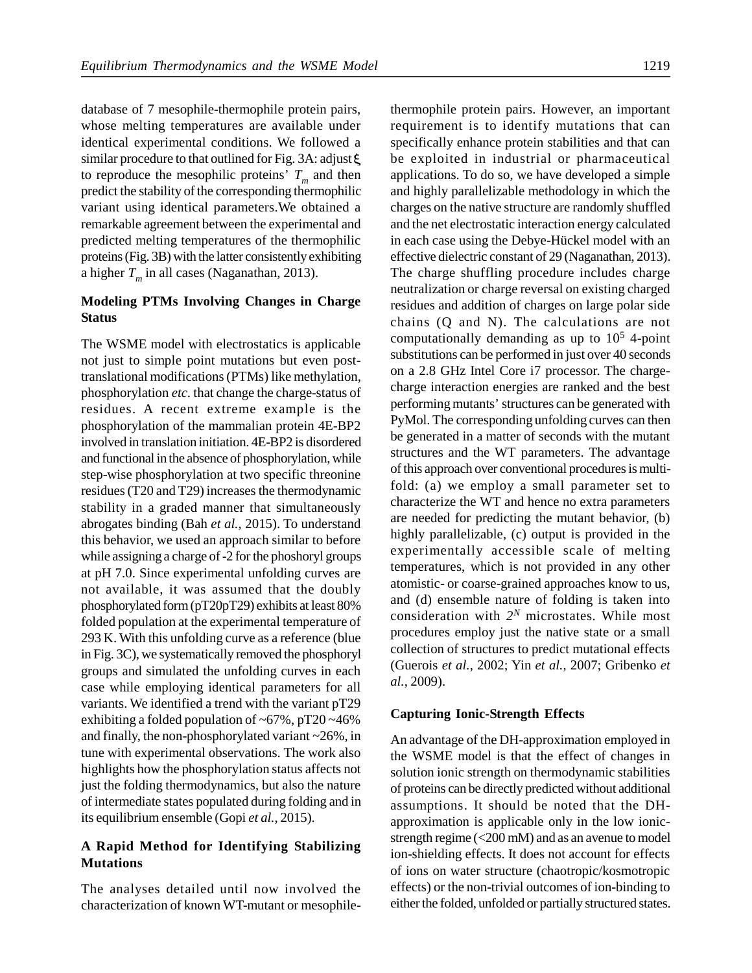database of 7 mesophile-thermophile protein pairs, whose melting temperatures are available under identical experimental conditions. We followed a similar procedure to that outlined for Fig. 3A: adjust  $\xi$ to reproduce the mesophilic proteins'  $T_m$  and then app predict the stability of the corresponding thermophilic variant using identical parameters.We obtained a remarkable agreement between the experimental and predicted melting temperatures of the thermophilic proteins (Fig. 3B) with the latter consistently exhibiting a higher *T<sup>m</sup>* in all cases (Naganathan, 2013).

## **Modeling PTMs Involving Changes in Charge Status**

The WSME model with electrostatics is applicable not just to simple point mutations but even posttranslational modifications (PTMs) like methylation, phosphorylation *etc.* that change the charge-status of residues. A recent extreme example is the phosphorylation of the mammalian protein 4E-BP2 involved in translation initiation. 4E-BP2 is disordered and functional in the absence of phosphorylation, while step-wise phosphorylation at two specific threonine residues (T20 and T29) increases the thermodynamic stability in a graded manner that simultaneously abrogates binding (Bah *et al.*, 2015). To understand this behavior, we used an approach similar to before while assigning a charge of -2 for the phoshoryl groups at pH 7.0. Since experimental unfolding curves are not available, it was assumed that the doubly phosphorylated form (pT20pT29) exhibits at least 80% folded population at the experimental temperature of 293 K. With this unfolding curve as a reference (blue in Fig. 3C), we systematically removed the phosphoryl groups and simulated the unfolding curves in each case while employing identical parameters for all variants. We identified a trend with the variant pT29 exhibiting a folded population of  $\sim 67\%$ , pT20  $\sim 46\%$ and finally, the non-phosphorylated variant ~26%, in tune with experimental observations. The work also highlights how the phosphorylation status affects not just the folding thermodynamics, but also the nature of intermediate states populated during folding and in its equilibrium ensemble (Gopi *et al.*, 2015).

## **A Rapid Method for Identifying Stabilizing Mutations**

The analyses detailed until now involved the characterization of known WT-mutant or mesophile-

thermophile protein pairs. However, an important requirement is to identify mutations that can specifically enhance protein stabilities and that can be exploited in industrial or pharmaceutical applications. To do so, we have developed a simple and highly parallelizable methodology in which the charges on the native structure are randomly shuffled and the net electrostatic interaction energy calculated in each case using the Debye-Hückel model with an effective dielectric constant of 29 (Naganathan, 2013). The charge shuffling procedure includes charge neutralization or charge reversal on existing charged residues and addition of charges on large polar side chains (Q and N). The calculations are not computationally demanding as up to  $10<sup>5</sup>$  4-point substitutions can be performed in just over 40 seconds on a 2.8 GHz Intel Core i7 processor. The chargecharge interaction energies are ranked and the best performing mutants' structures can be generated with PyMol. The corresponding unfolding curves can then be generated in a matter of seconds with the mutant structures and the WT parameters. The advantage of this approach over conventional procedures is multifold: (a) we employ a small parameter set to characterize the WT and hence no extra parameters are needed for predicting the mutant behavior, (b) highly parallelizable, (c) output is provided in the experimentally accessible scale of melting temperatures, which is not provided in any other atomistic- or coarse-grained approaches know to us, and (d) ensemble nature of folding is taken into consideration with  $2^N$  microstates. While most procedures employ just the native state or a small collection of structures to predict mutational effects (Guerois *et al.*, 2002; Yin *et al.*, 2007; Gribenko *et al.*, 2009).

#### **Capturing Ionic-Strength Effects**

An advantage of the DH-approximation employed in the WSME model is that the effect of changes in solution ionic strength on thermodynamic stabilities of proteins can be directly predicted without additional assumptions. It should be noted that the DHapproximation is applicable only in the low ionicstrength regime (<200 mM) and as an avenue to model ion-shielding effects. It does not account for effects of ions on water structure (chaotropic/kosmotropic effects) or the non-trivial outcomes of ion-binding to either the folded, unfolded or partially structured states.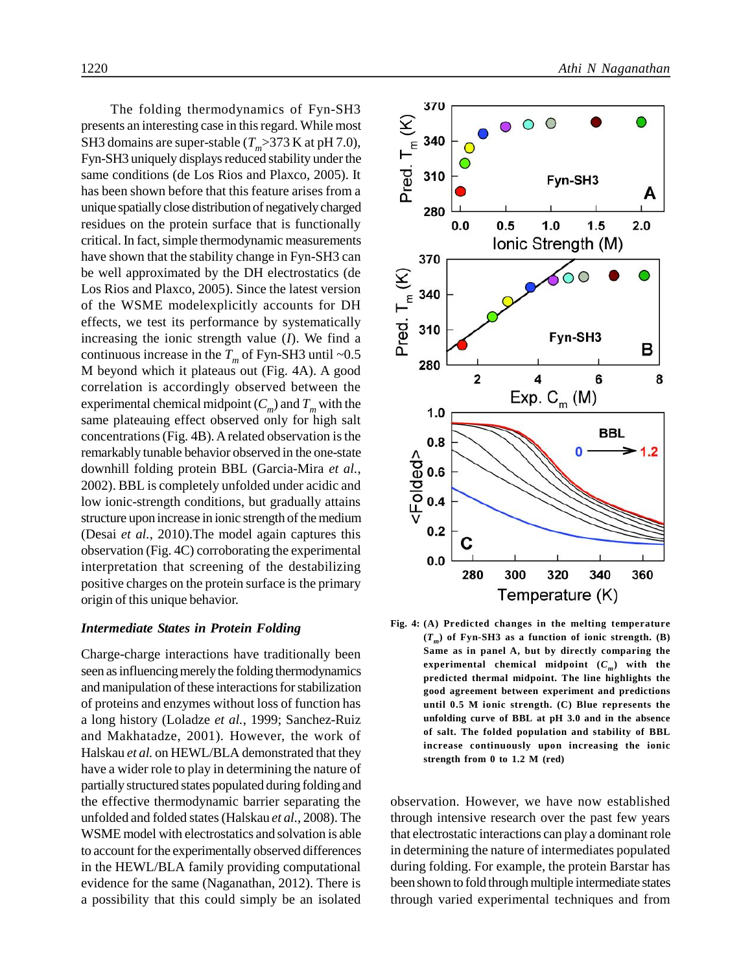The folding thermodynamics of Fyn-SH3<br>nts an interesting case in this regard. While most<br>domains are super-stable  $(T_m>373 \text{ K at pH } 7.0)$ ,<br>SH3 uniquely displays reduced stability under the<br>conditions (de Los Rios and Plaxco, presents an interesting case in this regard. While most SH3 domains are super-stable  $(T_m > 373$  K at pH 7.0), Fyn-SH3 uniquely displays reduced stability under the same conditions (de Los Rios and Plaxco, 2005). It has been shown before that this feature arises from a unique spatially close distribution of negatively charged residues on the protein surface that is functionally critical. In fact, simple thermodynamic measurements have shown that the stability change in Fyn-SH3 can be well approximated by the DH electrostatics (de<br>
Los Rios and Plaxco, 2005). Since the latest version<br>
of the WSME modelexplicitly accounts for DH<br>
effects, we test its performance by systematically<br>
increasing the ioni Los Rios and Plaxco, 2005). Since the latest version Los Rios and Plaxco, 2005). Since the latest version<br>of the WSME modelexplicitly accounts for DH  $\leftarrow$  340 effects, we test its performance by systematically increasing the ionic strength value (*I*). We find a continuous increase in the  $T_m$  of Fyn-SH3 until ~0.5  $\qquad \qquad \Box$ M beyond which it plateaus out (Fig. 4A). A good correlation is accordingly observed between the experimental chemical midpoint  $(C_m)$  and  $T_m$  with the same plateauing effect observed only for high salt concentrations (Fig. 4B). A related observation is the remarkably tunable behavior observed in the one-state downhill folding protein BBL (Garcia-Mira *et al.*, remarkably tunable behavior observed in the one-state<br>
downhill folding protein BBL (Garcia-Mira *et al.*,  $\overline{Q}$  0.6<br>
2002). BBL is completely unfolded under acidic and<br>
low ionic-strength conditions, but gradually att low ionic-strength conditions, but gradually attains structure upon increase in ionic strength of the medium  $V$ <br>(Desai *et al.* 2010) The model again captures this **0.2** (Desai *et al.*, 2010).The model again captures this observation (Fig. 4C) corroborating the experimental interpretation that screening of the destabilizing positive charges on the protein surface is the primary origin of this unique behavior.

## *Intermediate States in Protein Folding*

Charge-charge interactions have traditionally been seen as influencing merely the folding thermodynamics and manipulation of these interactions for stabilization of proteins and enzymes without loss of function has a long history (Loladze *et al.*, 1999; Sanchez-Ruiz and Makhatadze, 2001). However, the work of Halskau *et al.* on HEWL/BLA demonstrated that they have a wider role to play in determining the nature of partially structured states populated during folding and the effective thermodynamic barrier separating the unfolded and folded states (Halskau *et al.*, 2008). The WSME model with electrostatics and solvation is able to account for the experimentally observed differences in the HEWL/BLA family providing computational evidence for the same (Naganathan, 2012). There is a possibility that this could simply be an isolated



**(***T<sup>m</sup>* **) of Fyn-SH3 as a function of ionic strength. (B) Same as in panel A, but by directly comparing the experimental chemical midpoint (***C<sup>m</sup>* **) with the predicted thermal midpoint. The line highlights the good agreement between experiment and predictions until 0.5 M ionic strength. (C) Blue represents the unfolding curve of BBL at pH 3.0 and in the absence of salt. The folded population and stability of BBL increase continuously upon increasing the ionic strength from 0 to 1.2 M (red)**

observation. However, we have now established through intensive research over the past few years that electrostatic interactions can play a dominant role in determining the nature of intermediates populated during folding. For example, the protein Barstar has been shown to fold through multiple intermediate states through varied experimental techniques and from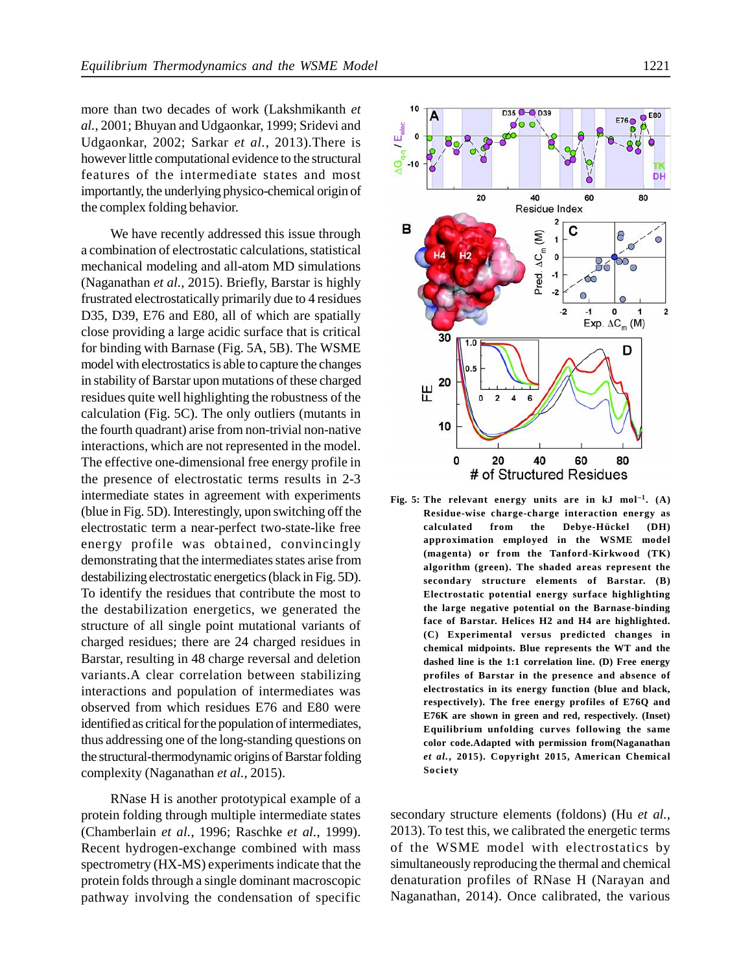more than two decades of work (Lakshmikanth *et al.*, 2001; Bhuyan and Udgaonkar, 1999; Sridevi and Udgaonkar, 2002; Sarkar *et al.*, 2013).There is however little computational evidence to the structural features of the intermediate states and most importantly, the underlying physico-chemical origin of the complex folding behavior.

We have recently addressed this issue through **B** a combination of electrostatic calculations, statistical mechanical modeling and all-atom MD simulations (Naganathan *et al.*, 2015). Briefly, Barstar is highly frustrated electrostatically primarily due to 4 residues D35, D39, E76 and E80, all of which are spatially close providing a large acidic surface that is critical for binding with Barnase (Fig. 5A, 5B). The WSME model with electrostatics is able to capture the changes in stability of Barstar upon mutations of these charged residues quite well highlighting the robustness of the calculation (Fig. 5C). The only outliers (mutants in the fourth quadrant) arise from non-trivial non-native interactions, which are not represented in the model. The effective one-dimensional free energy profile in the presence of electrostatic terms results in 2-3 intermediate states in agreement with experiments (blue in Fig. 5D). Interestingly, upon switching off the electrostatic term a near-perfect two-state-like free energy profile was obtained, convincingly demonstrating that the intermediates states arise from destabilizing electrostatic energetics (black in Fig. 5D). To identify the residues that contribute the most to the destabilization energetics, we generated the structure of all single point mutational variants of charged residues; there are 24 charged residues in Barstar, resulting in 48 charge reversal and deletion variants.A clear correlation between stabilizing interactions and population of intermediates was observed from which residues E76 and E80 were identified as critical for the population of intermediates, thus addressing one of the long-standing questions on the structural-thermodynamic origins of Barstar folding complexity (Naganathan *et al.*, 2015).

RNase H is another prototypical example of a protein folding through multiple intermediate states (Chamberlain *et al.*, 1996; Raschke *et al.*, 1999). Recent hydrogen-exchange combined with mass spectrometry (HX-MS) experiments indicate that the protein folds through a single dominant macroscopic pathway involving the condensation of specific



**Residue-wise charge-charge interaction energy as calculated from the Debye-Hückel (DH) approximation employed in the WSME model (magenta) or from the Tanford-Kirkwood (TK) algorithm (green). The shaded areas represent the secondary structure elements of Barstar. (B) Electrostatic potential energy surface highlighting the large negative potential on the Barnase-binding face of Barstar. Helices H2 and H4 are highlighted. (C) Experimental versus predicted changes in chemical midpoints. Blue represents the WT and the dashed line is the 1:1 correlation line. (D) Free energy profiles of Barstar in the presence and absence of electrostatics in its energy function (blue and black, respectively). The free energy profiles of E76Q and E76K are shown in green and red, respectively. (Inset) Equilibrium unfolding curves following the same color code.Adapted with permission from(Naganathan** *et al.***, 2015). Copyright 2015, American Chemical Society**

secondary structure elements (foldons) (Hu *et al.*, 2013). To test this, we calibrated the energetic terms of the WSME model with electrostatics by simultaneously reproducing the thermal and chemical denaturation profiles of RNase H (Narayan and Naganathan, 2014). Once calibrated, the various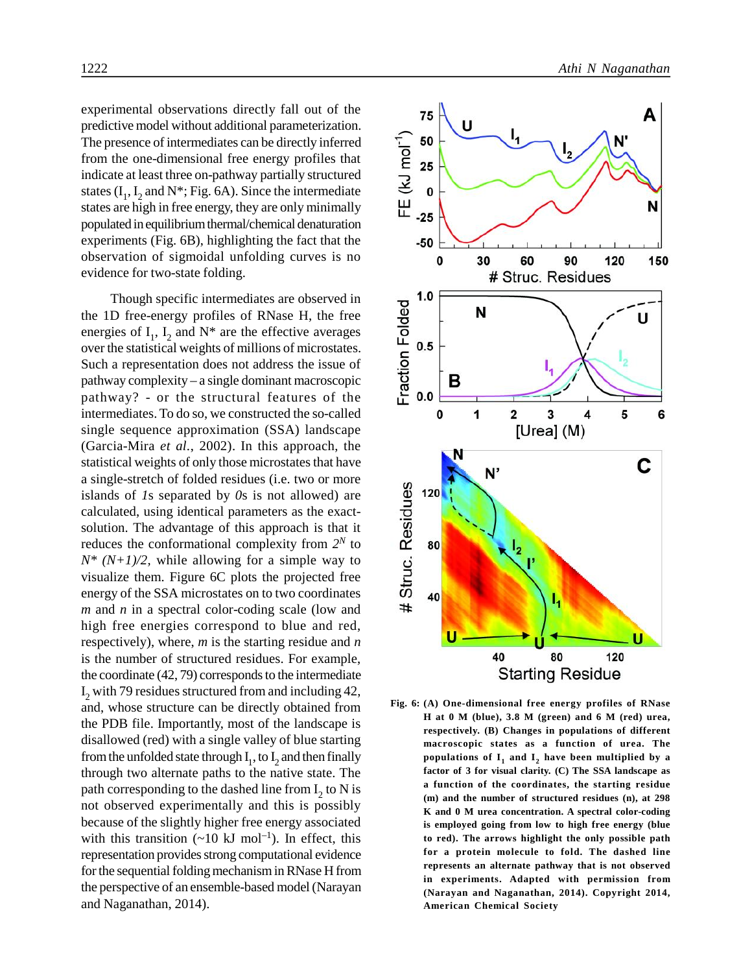experimental observations directly fall out of the predictive model without additional parameterization. The presence of intermediates can be directly inferred<br>from the one-dimensional free energy profiles that<br>indicate at least three on-pathway partially structured<br>states  $(I_1, I_2$  and  $N^*$ ; Fig. 6A). Since the intermediat from the one-dimensional free energy profiles that indicate at least three on-pathway partially structured states  $(I_1, I_2$  and N<sup>\*</sup>; Fig. 6A). Since the intermediate states are high in free energy, they are only minimally populated in equilibrium thermal/chemical denaturation experiments (Fig. 6B), highlighting the fact that the observation of sigmoidal unfolding curves is no evidence for two-state folding.

Though specific intermediates are observed in<br>
D free-energy profiles of RNase H, the free<br>
gies of  $I_1$ ,  $I_2$  and  $N^*$  are the effective averages<br>
the statistical weights of millions of microstates.<br>
a representation the 1D free-energy profiles of RNase H, the free energies of  $I_1$ ,  $I_2$  and  $N^*$  are the effective averages over the statistical weights of millions of microstates. Such a representation does not address the issue of pathway complexity – a single dominant macroscopic pathway? - or the structural features of the intermediates. To do so, we constructed the so-called single sequence approximation (SSA) landscape (Garcia-Mira *et al.*, 2002). In this approach, the statistical weights of only those microstates that have a single-stretch of folded residues (i.e. two or more<br>islands of Is separated by 0s is not allowed) are<br>calculated, using identical parameters as the exact-<br>solution. The advantage of this approach is that it<br>reduces the islands of *1*s separated by *0*s is not allowed) are calculated, using identical parameters as the exactsolution. The advantage of this approach is that it reduces the conformational complexity from  $2^N$  to  $\alpha$  $N^*$  ( $N+1/2$ , while allowing for a simple way to visualize them. Figure 6C plots the projected free energy of the SSA microstates on to two coordinates *m* and *n* in a spectral color-coding scale (low and high free energies correspond to blue and red, respectively), where, *m* is the starting residue and *n* is the number of structured residues. For example, the coordinate (42, 79) corresponds to the intermediate  $I_2$  with 79 residues structured from and including 42, and, whose structure can be directly obtained from the PDB file. Importantly, most of the landscape is disallowed (red) with a single valley of blue starting from the unfolded state through  $I_1$ , to  $I_2$  and then finally through two alternate paths to the native state. The path corresponding to the dashed line from  $I_2$  to N is not observed experimentally and this is possibly because of the slightly higher free energy associated with this transition  $({\sim}10 \text{ kJ mol}^{-1})$ . In effect, this representation provides strong computational evidence for the sequential folding mechanism in RNase H from the perspective of an ensemble-based model (Narayan and Naganathan, 2014).



**H at 0 M (blue), 3.8 M (green) and 6 M (red) urea, respectively. (B) Changes in populations of different macroscopic states as a function of urea. The** populations of  $\mathbf{I}_1$  and  $\mathbf{I}_2$  have been multiplied by a **factor of 3 for visual clarity. (C) The SSA landscape as a function of the coordinates, the starting residue (m) and the number of structured residues (n), at 298 K and 0 M urea concentration. A spectral color-coding is employed going from low to high free energy (blue to red). The arrows highlight the only possible path for a protein molecule to fold. The dashed line represents an alternate pathway that is not observed in experiments. Adapted with permission from (Narayan and Naganathan, 2014). Copyright 2014, American Chemical Society**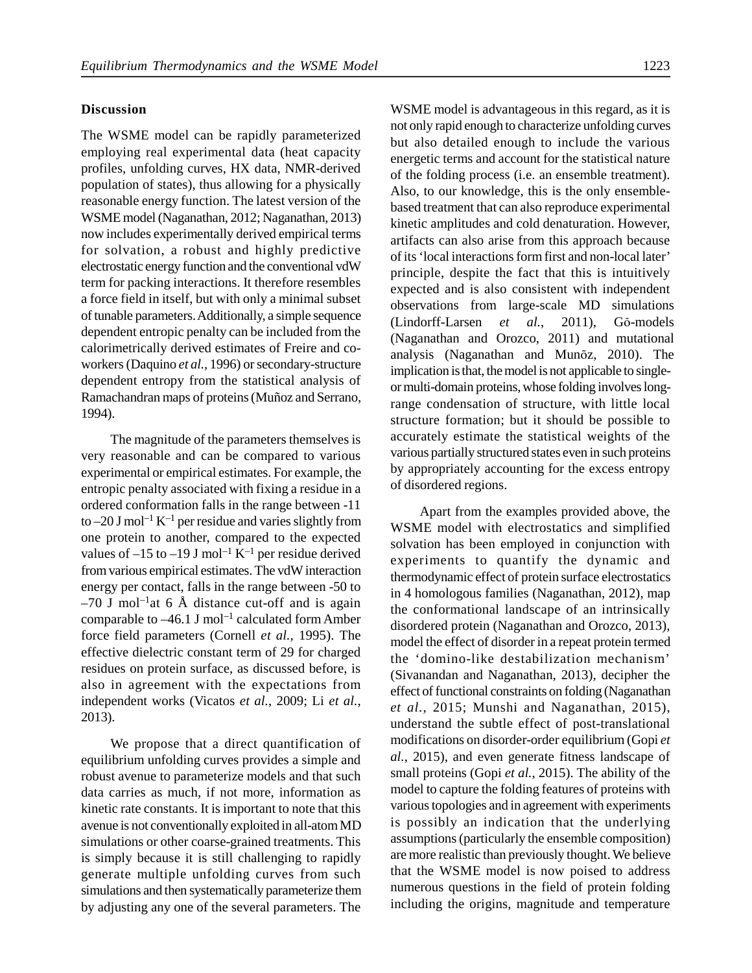#### **Discussion**

The WSME model can be rapidly parameterized employing real experimental data (heat capacity profiles, unfolding curves, HX data, NMR-derived population of states), thus allowing for a physically reasonable energy function. The latest version of the WSME model (Naganathan, 2012; Naganathan, 2013) now includes experimentally derived empirical terms for solvation, a robust and highly predictive electrostatic energy function and the conventional vdW term for packing interactions. It therefore resembles a force field in itself, but with only a minimal subset of tunable parameters. Additionally, a simple sequence dependent entropic penalty can be included from the calorimetrically derived estimates of Freire and coworkers (Daquino *et al.*, 1996) or secondary-structure dependent entropy from the statistical analysis of Ramachandran maps of proteins (Muñoz and Serrano, 1994).

The magnitude of the parameters themselves is very reasonable and can be compared to various experimental or empirical estimates. For example, the entropic penalty associated with fixing a residue in a ordered conformation falls in the range between -11 to  $-20$  J mol<sup>-1</sup> K<sup>-1</sup> per residue and varies slightly from one protein to another, compared to the expected values of  $-15$  to  $-19$  J mol<sup>-1</sup> K<sup>-1</sup> per residue derived from various empirical estimates. The vdW interaction energy per contact, falls in the range between -50 to  $-70$  J mol<sup>-1</sup>at 6 Å distance cut-off and is again comparable to  $-46.1$  J mol<sup>-1</sup> calculated form Amber force field parameters (Cornell *et al.*, 1995). The effective dielectric constant term of 29 for charged residues on protein surface, as discussed before, is<br>
also in agreement with the expectations from<br>
independent works (Vicatos *et al.*, 2009; Li *et al.*,<br>
2013).<br>
We propose that a direct quantification of<br>
mequilibrium also in agreement with the expectations from independent works (Vicatos *et al.*, 2009; Li *et al.*, 2013).

equilibrium unfolding curves provides a simple and robust avenue to parameterize models and that such data carries as much, if not more, information as kinetic rate constants. It is important to note that this avenue is not conventionally exploited in all-atom MD simulations or other coarse-grained treatments. This is simply because it is still challenging to rapidly generate multiple unfolding curves from such simulations and then systematically parameterize them by adjusting any one of the several parameters. The

WSME model is advantageous in this regard, as it is not only rapid enough to characterize unfolding curves but also detailed enough to include the various energetic terms and account for the statistical nature of the folding process (i.e. an ensemble treatment). Also, to our knowledge, this is the only ensemblebased treatment that can also reproduce experimental kinetic amplitudes and cold denaturation. However, artifacts can also arise from this approach because of its 'local interactions form first and non-local later' principle, despite the fact that this is intuitively expected and is also consistent with independent observations from large-scale MD simulations (Lindorff-Larsen *et al.*, 2011), Gō-models (Naganathan and Orozco, 2011) and mutational analysis (Naganathan and Munõz, 2010). The implication is that, the model is not applicable to singleor multi-domain proteins, whose folding involves longrange condensation of structure, with little local structure formation; but it should be possible to accurately estimate the statistical weights of the various partially structured states even in such proteins by appropriately accounting for the excess entropy of disordered regions.

Apart from the examples provided above, the WSME model with electrostatics and simplified solvation has been employed in conjunction with experiments to quantify the dynamic and thermodynamic effect of protein surface electrostatics in 4 homologous families (Naganathan, 2012), map the conformational landscape of an intrinsically disordered protein (Naganathan and Orozco, 2013), model the effect of disorder in a repeat protein termed the 'domino-like destabilization mechanism' (Sivanandan and Naganathan, 2013), decipher the effect of functional constraints on folding (Naganathan *et al.*, 2015; Munshi and Naganathan, 2015), understand the subtle effect of post-translational modifications on disorder-order equilibrium (Gopi *et al.*, 2015), and even generate fitness landscape of small proteins (Gopi *et al.*, 2015). The ability of the model to capture the folding features of proteins with various topologies and in agreement with experiments is possibly an indication that the underlying assumptions (particularly the ensemble composition) are more realistic than previously thought. We believe that the WSME model is now poised to address numerous questions in the field of protein folding including the origins, magnitude and temperature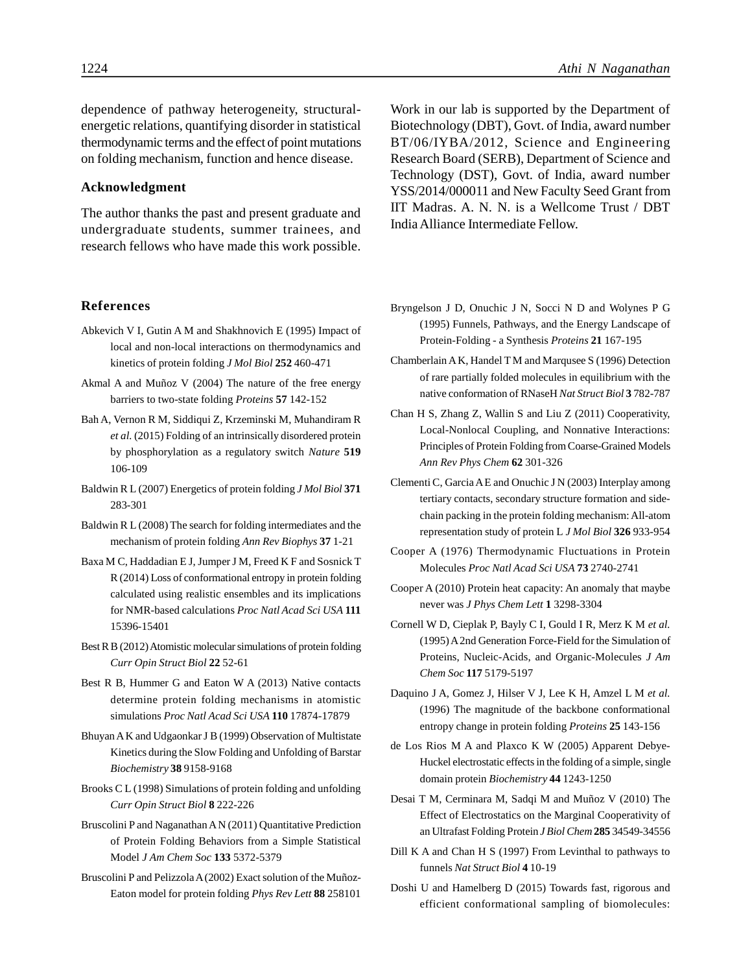dependence of pathway heterogeneity, structuralenergetic relations, quantifying disorder in statistical thermodynamic terms and the effect of point mutations on folding mechanism, function and hence disease.

#### **Acknowledgment**

The author thanks the past and present graduate and undergraduate students, summer trainees, and research fellows who have made this work possible.

**References**

- Abkevich V I, Gutin A M and Shakhnovich E (1995) Impact of local and non-local interactions on thermodynamics and kinetics of protein folding *J Mol Biol* **252** 460-471
- Akmal A and Muñoz V (2004) The nature of the free energy barriers to two-state folding *Proteins* **57** 142-152
- Bah A, Vernon R M, Siddiqui Z, Krzeminski M, Muhandiram R *et al.* (2015) Folding of an intrinsically disordered protein by phosphorylation as a regulatory switch *Nature* **519** 106-109
- Baldwin R L (2007) Energetics of protein folding *J Mol Biol* **371** 283-301
- Baldwin R L (2008) The search for folding intermediates and the mechanism of protein folding *Ann Rev Biophys* **37** 1-21
- Baxa M C, Haddadian E J, Jumper J M, Freed K F and Sosnick T R (2014) Loss of conformational entropy in protein folding calculated using realistic ensembles and its implications for NMR-based calculations *Proc Natl Acad Sci USA* **111** 15396-15401
- Best R B (2012) Atomistic molecular simulations of protein folding *Curr Opin Struct Biol* **22** 52-61
- Best R B, Hummer G and Eaton W A (2013) Native contacts determine protein folding mechanisms in atomistic simulations *Proc Natl Acad Sci USA* **110** 17874-17879
- Bhuyan A K and Udgaonkar J B (1999) Observation of Multistate Kinetics during the Slow Folding and Unfolding of Barstar *Biochemistry* **38** 9158-9168
- Brooks C L (1998) Simulations of protein folding and unfolding *Curr Opin Struct Biol* **8** 222-226
- Bruscolini P and Naganathan A N (2011) Quantitative Prediction of Protein Folding Behaviors from a Simple Statistical Model *J Am Chem Soc* **133** 5372-5379
- Bruscolini P and Pelizzola A (2002) Exact solution of the Muñoz-Eaton model for protein folding *Phys Rev Lett* **88** 258101

Work in our lab is supported by the Department of Biotechnology (DBT), Govt. of India, award number BT/06/IYBA/2012, Science and Engineering Research Board (SERB), Department of Science and Technology (DST), Govt. of India, award number YSS/2014/000011 and New Faculty Seed Grant from IIT Madras. A. N. N. is a Wellcome Trust / DBT India Alliance Intermediate Fellow.

- Bryngelson J D, Onuchic J N, Socci N D and Wolynes P G (1995) Funnels, Pathways, and the Energy Landscape of Protein-Folding - a Synthesis *Proteins* **21** 167-195
- Chamberlain A K, Handel T M and Marqusee S (1996) Detection of rare partially folded molecules in equilibrium with the native conformation of RNaseH *Nat Struct Biol* **3** 782-787
- Chan H S, Zhang Z, Wallin S and Liu Z (2011) Cooperativity, Local-Nonlocal Coupling, and Nonnative Interactions: Principles of Protein Folding from Coarse-Grained Models *Ann Rev Phys Chem* **62** 301-326
- Clementi C, Garcia A E and Onuchic J N (2003) Interplay among tertiary contacts, secondary structure formation and sidechain packing in the protein folding mechanism: All-atom representation study of protein L *J Mol Biol* **326** 933-954
- Cooper A (1976) Thermodynamic Fluctuations in Protein Molecules *Proc Natl Acad Sci USA* **73** 2740-2741
- Cooper A (2010) Protein heat capacity: An anomaly that maybe never was *J Phys Chem Lett* **1** 3298-3304
- Cornell W D, Cieplak P, Bayly C I, Gould I R, Merz K M *et al.* (1995) A 2nd Generation Force-Field for the Simulation of Proteins, Nucleic-Acids, and Organic-Molecules *J Am Chem Soc* **117** 5179-5197
- Daquino J A, Gomez J, Hilser V J, Lee K H, Amzel L M *et al.* (1996) The magnitude of the backbone conformational entropy change in protein folding *Proteins* **25** 143-156
- de Los Rios M A and Plaxco K W (2005) Apparent Debye-Huckel electrostatic effects in the folding of a simple, single domain protein *Biochemistry* **44** 1243-1250
- Desai T M, Cerminara M, Sadqi M and Muñoz V (2010) The Effect of Electrostatics on the Marginal Cooperativity of an Ultrafast Folding Protein *J Biol Chem* **285** 34549-34556
- Dill K A and Chan H S (1997) From Levinthal to pathways to funnels *Nat Struct Biol* **4** 10-19
- Doshi U and Hamelberg D (2015) Towards fast, rigorous and efficient conformational sampling of biomolecules: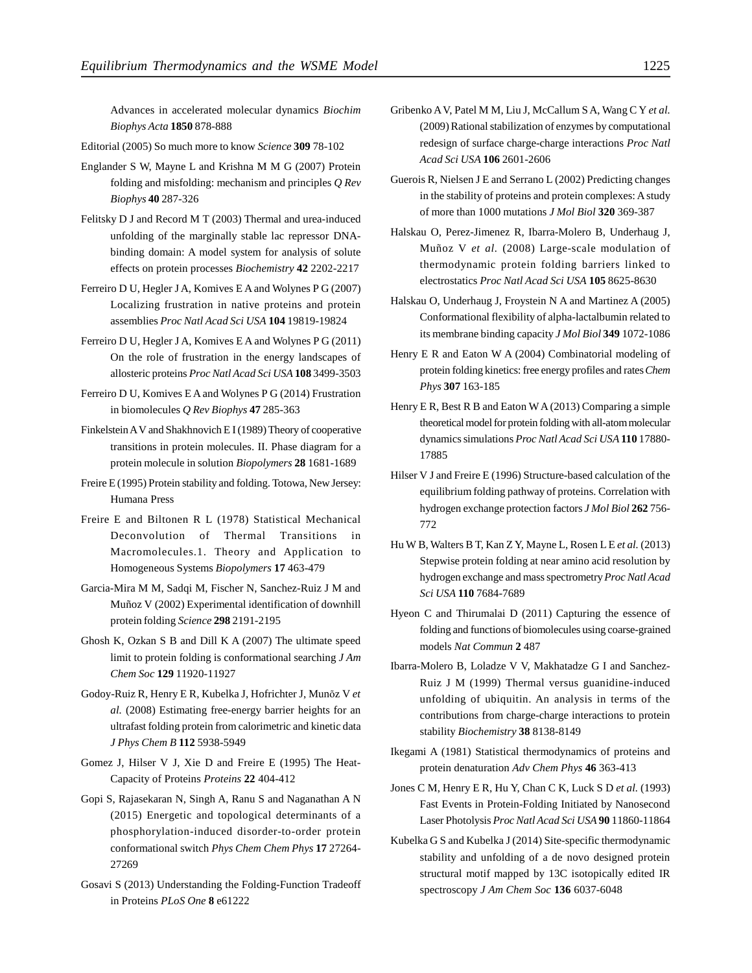Advances in accelerated molecular dynamics *Biochim Biophys Acta* **1850** 878-888

Editorial (2005) So much more to know *Science* **309** 78-102

- Englander S W, Mayne L and Krishna M M G (2007) Protein folding and misfolding: mechanism and principles *Q Rev Biophys* **40** 287-326
- Felitsky D J and Record M T (2003) Thermal and urea-induced unfolding of the marginally stable lac repressor DNAbinding domain: A model system for analysis of solute effects on protein processes *Biochemistry* **42** 2202-2217
- Ferreiro D U, Hegler J A, Komives E A and Wolynes P G (2007) Localizing frustration in native proteins and protein assemblies *Proc Natl Acad Sci USA* **104** 19819-19824
- Ferreiro D U, Hegler J A, Komives E A and Wolynes P G (2011) On the role of frustration in the energy landscapes of allosteric proteins *Proc Natl Acad Sci USA* **108** 3499-3503
- Ferreiro D U, Komives E A and Wolynes P G (2014) Frustration in biomolecules *Q Rev Biophys* **47** 285-363
- Finkelstein A V and Shakhnovich E I (1989) Theory of cooperative transitions in protein molecules. II. Phase diagram for a protein molecule in solution *Biopolymers* **28** 1681-1689
- Freire E (1995) Protein stability and folding. Totowa, New Jersey: Humana Press
- Freire E and Biltonen R L (1978) Statistical Mechanical Deconvolution of Thermal Transitions in Macromolecules.1. Theory and Application to Homogeneous Systems *Biopolymers* **17** 463-479
- Garcia-Mira M M, Sadqi M, Fischer N, Sanchez-Ruiz J M and Muñoz V (2002) Experimental identification of downhill protein folding *Science* **298** 2191-2195
- Ghosh K, Ozkan S B and Dill K A (2007) The ultimate speed limit to protein folding is conformational searching *J Am Chem Soc* **129** 11920-11927
- Godoy-Ruiz R, Henry E R, Kubelka J, Hofrichter J, Munõz V *et al.* (2008) Estimating free-energy barrier heights for an ultrafast folding protein from calorimetric and kinetic data *J Phys Chem B* **112** 5938-5949
- Gomez J, Hilser V J, Xie D and Freire E (1995) The Heat-Capacity of Proteins *Proteins* **22** 404-412
- Gopi S, Rajasekaran N, Singh A, Ranu S and Naganathan A N (2015) Energetic and topological determinants of a phosphorylation-induced disorder-to-order protein conformational switch *Phys Chem Chem Phys* **17** 27264- 27269
- Gosavi S (2013) Understanding the Folding-Function Tradeoff in Proteins *PLoS One* **8** e61222
- Gribenko A V, Patel M M, Liu J, McCallum S A, Wang C Y *et al.* (2009) Rational stabilization of enzymes by computational redesign of surface charge-charge interactions *Proc Natl Acad Sci USA* **106** 2601-2606
- Guerois R, Nielsen J E and Serrano L (2002) Predicting changes in the stability of proteins and protein complexes: A study of more than 1000 mutations *J Mol Biol* **320** 369-387
- Halskau O, Perez-Jimenez R, Ibarra-Molero B, Underhaug J, Muñoz V *et al.* (2008) Large-scale modulation of thermodynamic protein folding barriers linked to electrostatics *Proc Natl Acad Sci USA* **105** 8625-8630
- Halskau O, Underhaug J, Froystein N A and Martinez A (2005) Conformational flexibility of alpha-lactalbumin related to its membrane binding capacity *J Mol Biol* **349** 1072-1086
- Henry E R and Eaton W A (2004) Combinatorial modeling of protein folding kinetics: free energy profiles and rates*Chem Phys* **307** 163-185
- Henry E R, Best R B and Eaton W A (2013) Comparing a simple theoretical model for protein folding with all-atom molecular dynamics simulations *Proc Natl Acad Sci USA* **110** 17880- 17885
- Hilser V J and Freire E (1996) Structure-based calculation of the equilibrium folding pathway of proteins. Correlation with hydrogen exchange protection factors *J Mol Biol* **262** 756- 772
- Hu W B, Walters B T, Kan Z Y, Mayne L, Rosen L E *et al.* (2013) Stepwise protein folding at near amino acid resolution by hydrogen exchange and mass spectrometry*Proc Natl Acad Sci USA* **110** 7684-7689
- Hyeon C and Thirumalai D (2011) Capturing the essence of folding and functions of biomolecules using coarse-grained models *Nat Commun* **2** 487
- Ibarra-Molero B, Loladze V V, Makhatadze G I and Sanchez-Ruiz J M (1999) Thermal versus guanidine-induced unfolding of ubiquitin. An analysis in terms of the contributions from charge-charge interactions to protein stability *Biochemistry* **38** 8138-8149
- Ikegami A (1981) Statistical thermodynamics of proteins and protein denaturation *Adv Chem Phys* **46** 363-413
- Jones C M, Henry E R, Hu Y, Chan C K, Luck S D *et al.* (1993) Fast Events in Protein-Folding Initiated by Nanosecond Laser Photolysis *Proc Natl Acad Sci USA* **90** 11860-11864
- Kubelka G S and Kubelka J (2014) Site-specific thermodynamic stability and unfolding of a de novo designed protein structural motif mapped by 13C isotopically edited IR spectroscopy *J Am Chem Soc* **136** 6037-6048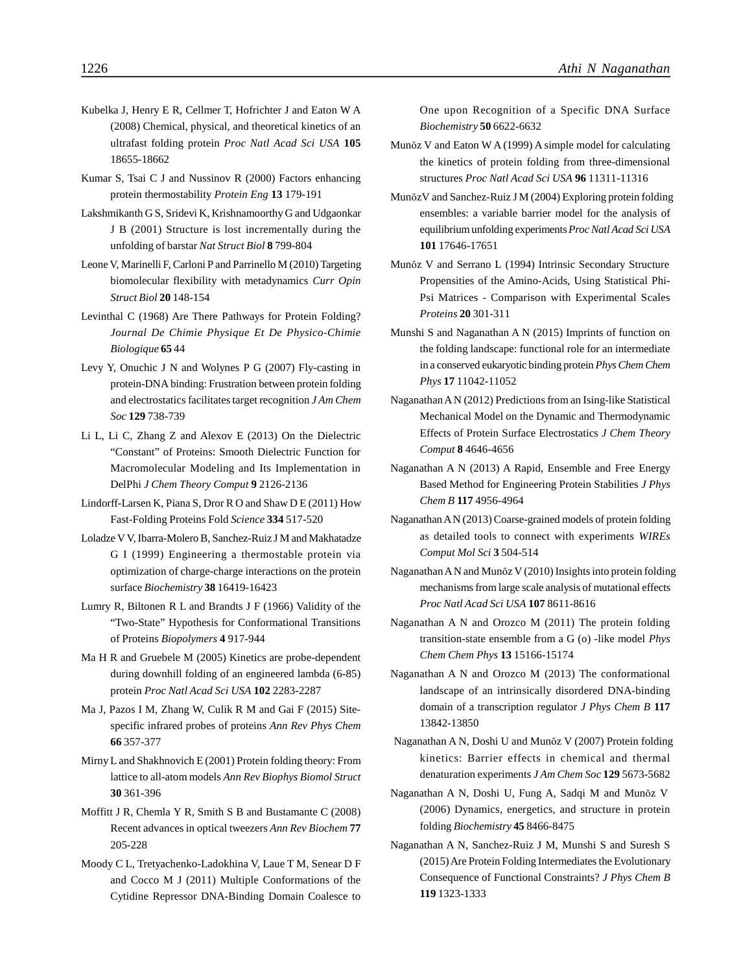- Kubelka J, Henry E R, Cellmer T, Hofrichter J and Eaton W A (2008) Chemical, physical, and theoretical kinetics of an ultrafast folding protein *Proc Natl Acad Sci USA* **105** 18655-18662
- Kumar S, Tsai C J and Nussinov R (2000) Factors enhancing protein thermostability *Protein Eng* **13** 179-191
- Lakshmikanth G S, Sridevi K, Krishnamoorthy G and Udgaonkar J B (2001) Structure is lost incrementally during the unfolding of barstar *Nat Struct Biol* **8** 799-804
- Leone V, Marinelli F, Carloni P and Parrinello M (2010) Targeting biomolecular flexibility with metadynamics *Curr Opin Struct Biol* **20** 148-154
- Levinthal C (1968) Are There Pathways for Protein Folding? *Journal De Chimie Physique Et De Physico-Chimie Biologique* **65** 44
- Levy Y, Onuchic J N and Wolynes P G (2007) Fly-casting in protein-DNA binding: Frustration between protein folding and electrostatics facilitates target recognition *J Am Chem Soc* **129** 738-739
- Li L, Li C, Zhang Z and Alexov E (2013) On the Dielectric "Constant" of Proteins: Smooth Dielectric Function for Macromolecular Modeling and Its Implementation in DelPhi *J Chem Theory Comput* **9** 2126-2136
- Lindorff-Larsen K, Piana S, Dror R O and Shaw D E (2011) How Fast-Folding Proteins Fold *Science* **334** 517-520
- Loladze V V, Ibarra-Molero B, Sanchez-Ruiz J M and Makhatadze G I (1999) Engineering a thermostable protein via optimization of charge-charge interactions on the protein surface *Biochemistry* **38** 16419-16423
- Lumry R, Biltonen R L and Brandts J F (1966) Validity of the "Two-State" Hypothesis for Conformational Transitions of Proteins *Biopolymers* **4** 917-944
- Ma H R and Gruebele M (2005) Kinetics are probe-dependent during downhill folding of an engineered lambda (6-85) protein *Proc Natl Acad Sci USA* **102** 2283-2287
- Ma J, Pazos I M, Zhang W, Culik R M and Gai F (2015) Sitespecific infrared probes of proteins *Ann Rev Phys Chem* **66** 357-377
- Mirny L and Shakhnovich E (2001) Protein folding theory: From lattice to all-atom models *Ann Rev Biophys Biomol Struct* **30** 361-396
- Moffitt J R, Chemla Y R, Smith S B and Bustamante C (2008) Recent advances in optical tweezers *Ann Rev Biochem* **77** 205-228
- Moody C L, Tretyachenko-Ladokhina V, Laue T M, Senear D F and Cocco M J (2011) Multiple Conformations of the Cytidine Repressor DNA-Binding Domain Coalesce to

One upon Recognition of a Specific DNA Surface *Biochemistry* **50** 6622-6632

- Munõz V and Eaton W A (1999) A simple model for calculating the kinetics of protein folding from three-dimensional structures *Proc Natl Acad Sci USA* **96** 11311-11316
- MunõzV and Sanchez-Ruiz J M (2004) Exploring protein folding ensembles: a variable barrier model for the analysis of equilibrium unfolding experiments*Proc Natl Acad Sci USA* **101** 17646-17651
- Munõz V and Serrano L (1994) Intrinsic Secondary Structure Propensities of the Amino-Acids, Using Statistical Phi-Psi Matrices - Comparison with Experimental Scales *Proteins* **20** 301-311
- Munshi S and Naganathan A N (2015) Imprints of function on the folding landscape: functional role for an intermediate in a conserved eukaryotic binding protein *Phys Chem Chem Phys* **17** 11042-11052
- Naganathan A N (2012) Predictions from an Ising-like Statistical Mechanical Model on the Dynamic and Thermodynamic Effects of Protein Surface Electrostatics *J Chem Theory Comput* **8** 4646-4656
- Naganathan A N (2013) A Rapid, Ensemble and Free Energy Based Method for Engineering Protein Stabilities *J Phys Chem B* **117** 4956-4964
- Naganathan A N (2013) Coarse-grained models of protein folding as detailed tools to connect with experiments *WIREs Comput Mol Sci* **3** 504-514
- Naganathan A N and Munõz V (2010) Insights into protein folding mechanisms from large scale analysis of mutational effects *Proc Natl Acad Sci USA* **107** 8611-8616
- Naganathan A N and Orozco M (2011) The protein folding transition-state ensemble from a G (o) -like model *Phys Chem Chem Phys* **13** 15166-15174
- Naganathan A N and Orozco M (2013) The conformational landscape of an intrinsically disordered DNA-binding domain of a transcription regulator *J Phys Chem B* **117** 13842-13850
- Naganathan A N, Doshi U and Munõz V (2007) Protein folding kinetics: Barrier effects in chemical and thermal denaturation experiments *J Am Chem Soc* **129** 5673-5682
- Naganathan A N, Doshi U, Fung A, Sadqi M and Munõz V (2006) Dynamics, energetics, and structure in protein folding *Biochemistry* **45** 8466-8475
- Naganathan A N, Sanchez-Ruiz J M, Munshi S and Suresh S (2015) Are Protein Folding Intermediates the Evolutionary Consequence of Functional Constraints? *J Phys Chem B* **119** 1323-1333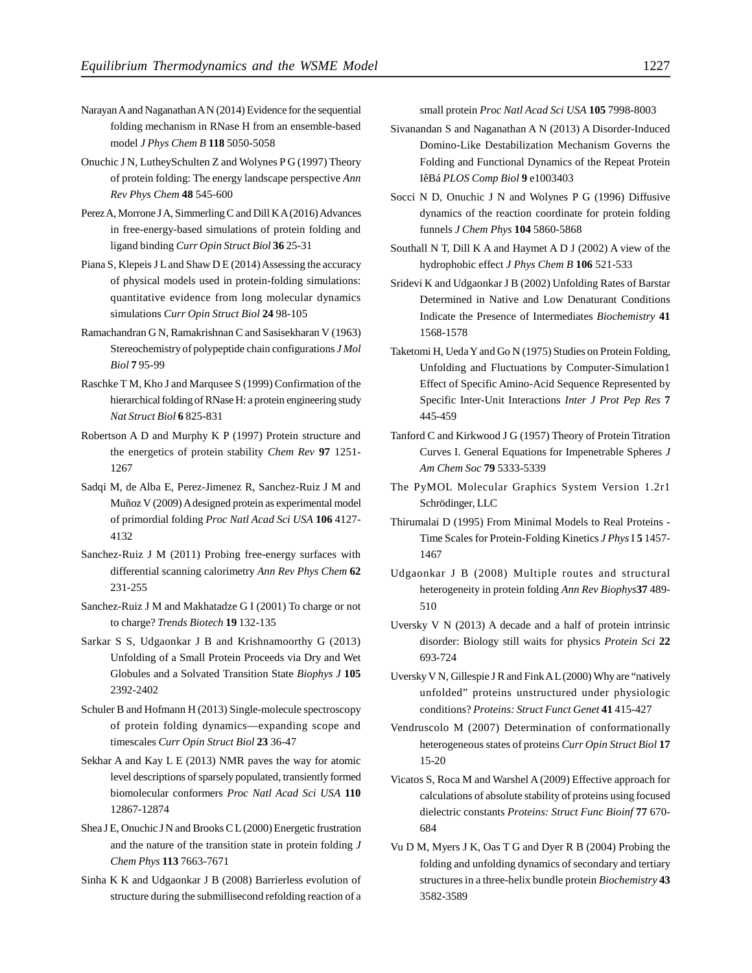- Narayan A and Naganathan A N (2014) Evidence for the sequential folding mechanism in RNase H from an ensemble-based model *J Phys Chem B* **118** 5050-5058
- Onuchic J N, LutheySchulten Z and Wolynes P G (1997) Theory of protein folding: The energy landscape perspective *Ann Rev Phys Chem* **48** 545-600
- Perez A, Morrone J A, Simmerling C and Dill K A (2016) Advances in free-energy-based simulations of protein folding and ligand binding *Curr Opin Struct Biol* **36** 25-31
- Piana S, Klepeis J L and Shaw D E (2014) Assessing the accuracy of physical models used in protein-folding simulations: quantitative evidence from long molecular dynamics simulations *Curr Opin Struct Biol* **24** 98-105
- Ramachandran G N, Ramakrishnan C and Sasisekharan V (1963) Stereochemistry of polypeptide chain configurations *J Mol Biol* **7** 95-99
- Raschke T M, Kho J and Marqusee S (1999) Confirmation of the hierarchical folding of RNase H: a protein engineering study *Nat Struct Biol* **6** 825-831
- Robertson A D and Murphy K P (1997) Protein structure and the energetics of protein stability *Chem Rev* **97** 1251- 1267
- Sadqi M, de Alba E, Perez-Jimenez R, Sanchez-Ruiz J M and Muñoz V (2009) A designed protein as experimental model of primordial folding *Proc Natl Acad Sci USA* **106** 4127- 4132
- Sanchez-Ruiz J M (2011) Probing free-energy surfaces with differential scanning calorimetry *Ann Rev Phys Chem* **62** 231-255
- Sanchez-Ruiz J M and Makhatadze G I (2001) To charge or not to charge? *Trends Biotech* **19** 132-135
- Sarkar S S, Udgaonkar J B and Krishnamoorthy G (2013) Unfolding of a Small Protein Proceeds via Dry and Wet Globules and a Solvated Transition State *Biophys J* **105** 2392-2402
- Schuler B and Hofmann H (2013) Single-molecule spectroscopy of protein folding dynamics—expanding scope and timescales *Curr Opin Struct Biol* **23** 36-47
- Sekhar A and Kay L E (2013) NMR paves the way for atomic level descriptions of sparsely populated, transiently formed biomolecular conformers *Proc Natl Acad Sci USA* **110** 12867-12874
- Shea J E, Onuchic J N and Brooks C L (2000) Energetic frustration and the nature of the transition state in protein folding *J Chem Phys* **113** 7663-7671
- Sinha K K and Udgaonkar J B (2008) Barrierless evolution of structure during the submillisecond refolding reaction of a

small protein *Proc Natl Acad Sci USA* **105** 7998-8003

- Sivanandan S and Naganathan A N (2013) A Disorder-Induced Domino-Like Destabilization Mechanism Governs the Folding and Functional Dynamics of the Repeat Protein IêBá *PLOS Comp Biol* **9** e1003403
- Socci N D, Onuchic J N and Wolynes P G (1996) Diffusive dynamics of the reaction coordinate for protein folding funnels *J Chem Phys* **104** 5860-5868
- Southall N T, Dill K A and Haymet A D J (2002) A view of the hydrophobic effect *J Phys Chem B* **106** 521-533
- Sridevi K and Udgaonkar J B (2002) Unfolding Rates of Barstar Determined in Native and Low Denaturant Conditions Indicate the Presence of Intermediates *Biochemistry* **41** 1568-1578
- Taketomi H, Ueda Y and Go N (1975) Studies on Protein Folding, Unfolding and Fluctuations by Computer-Simulation1 Effect of Specific Amino-Acid Sequence Represented by Specific Inter-Unit Interactions *Inter J Prot Pep Res* **7** 445-459
- Tanford C and Kirkwood J G (1957) Theory of Protein Titration Curves I. General Equations for Impenetrable Spheres *J Am Chem Soc* **79** 5333-5339
- The PyMOL Molecular Graphics System Version 1.2r1 Schrödinger, LLC
- Thirumalai D (1995) From Minimal Models to Real Proteins Time Scales for Protein-Folding Kinetics *J Phys* I **5** 1457- 1467
- Udgaonkar J B (2008) Multiple routes and structural heterogeneity in protein folding *Ann Rev Biophys***37** 489- 510
- Uversky V N (2013) A decade and a half of protein intrinsic disorder: Biology still waits for physics *Protein Sci* **22** 693-724
- Uversky V N, Gillespie J R and Fink A L (2000) Why are "natively unfolded" proteins unstructured under physiologic conditions? *Proteins: Struct Funct Genet* **41** 415-427
- Vendruscolo M (2007) Determination of conformationally heterogeneous states of proteins *Curr Opin Struct Biol* **17** 15-20
- Vicatos S, Roca M and Warshel A (2009) Effective approach for calculations of absolute stability of proteins using focused dielectric constants *Proteins: Struct Func Bioinf* **77** 670- 684
- Vu D M, Myers J K, Oas T G and Dyer R B (2004) Probing the folding and unfolding dynamics of secondary and tertiary structures in a three-helix bundle protein *Biochemistry* **43** 3582-3589